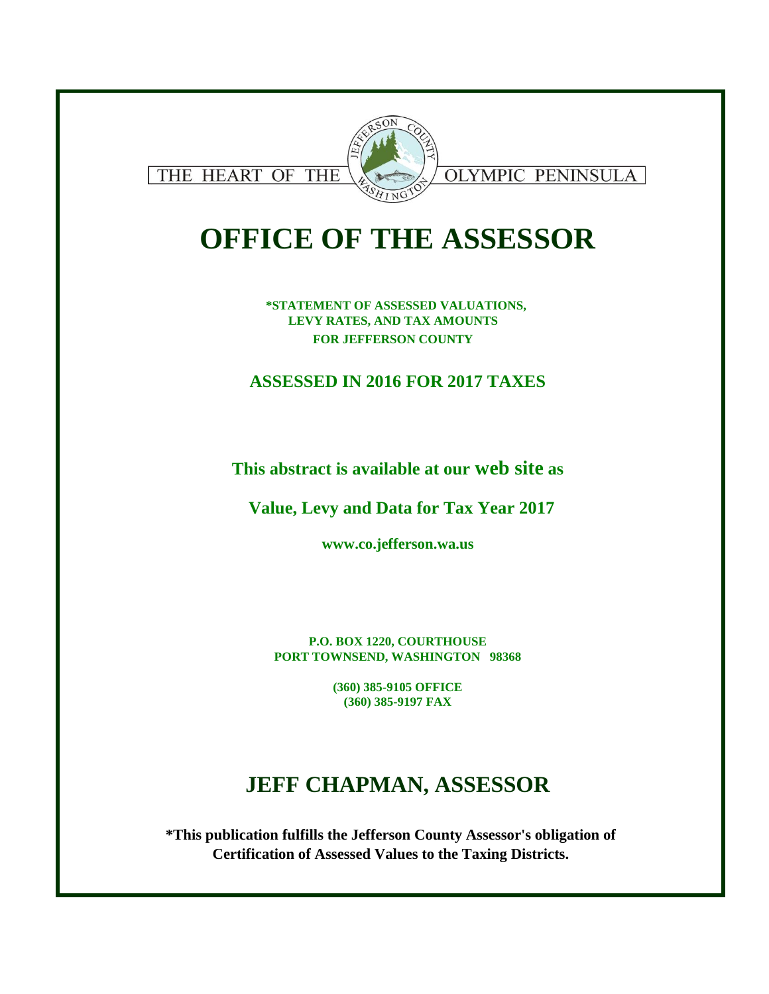

# **OFFICE OF THE ASSESSOR**

**\*STATEMENT OF ASSESSED VALUATIONS, LEVY RATES, AND TAX AMOUNTS FOR JEFFERSON COUNTY** 

**ASSESSED IN 2016 FOR 2017 TAXES**

**This abstract is available at our web site as**

**Value, Levy and Data for Tax Year 2017**

**www.co.jefferson.wa.us**

**P.O. BOX 1220, COURTHOUSE PORT TOWNSEND, WASHINGTON 98368**

> **(360) 385-9105 OFFICE (360) 385-9197 FAX**

## **JEFF CHAPMAN, ASSESSOR**

**\*This publication fulfills the Jefferson County Assessor's obligation of Certification of Assessed Values to the Taxing Districts.**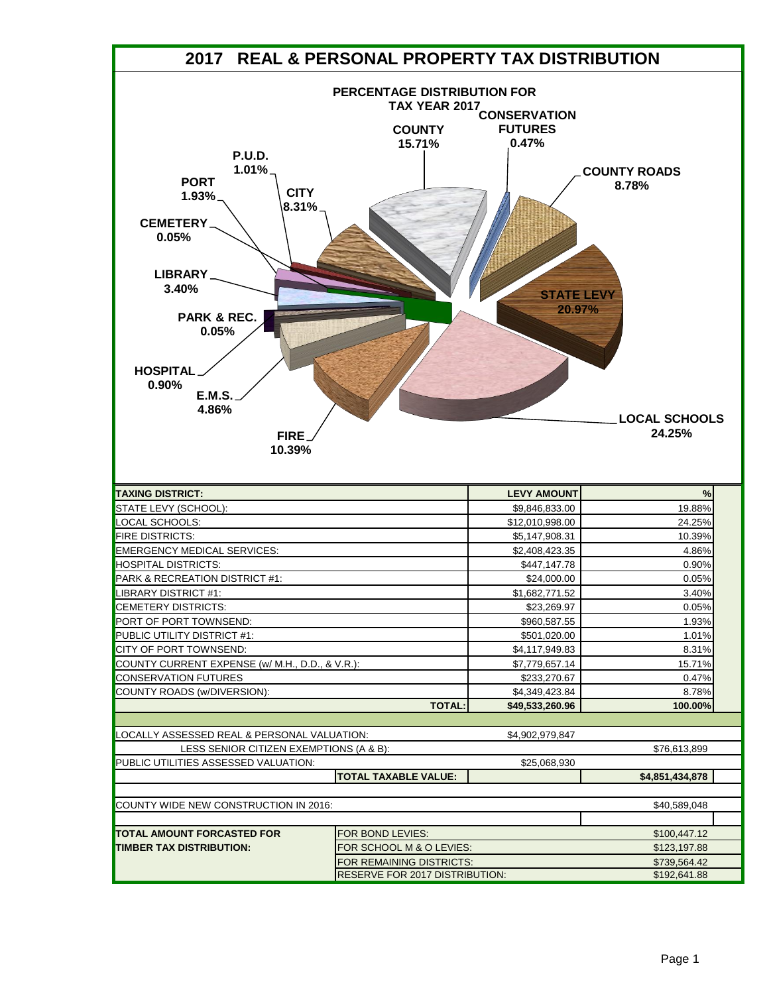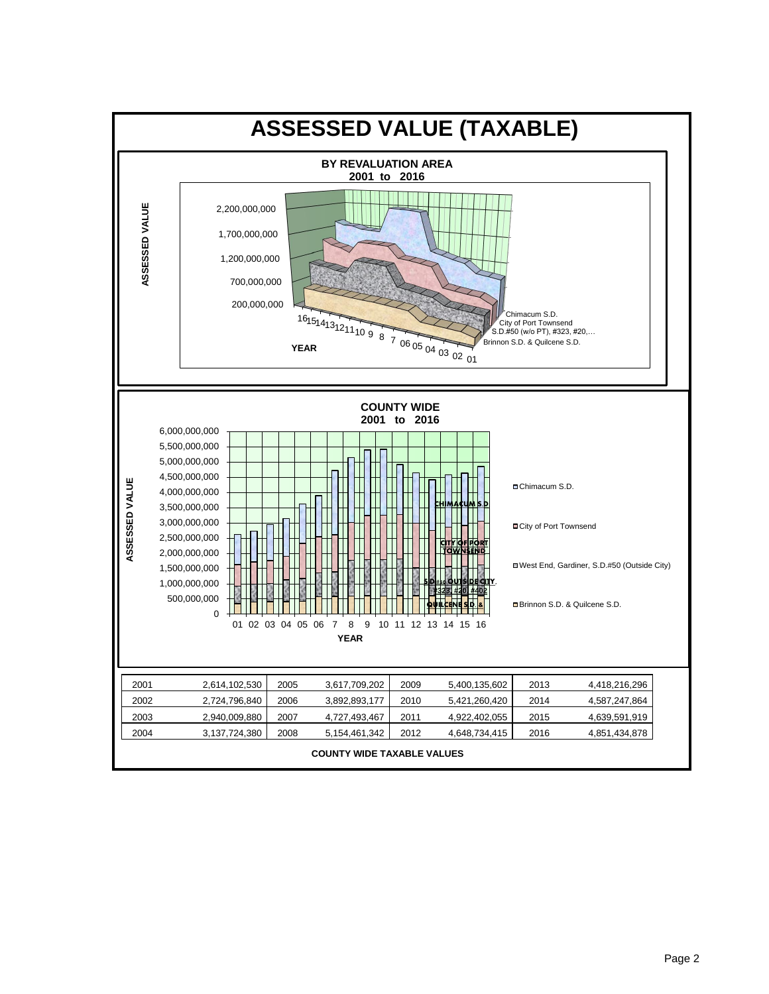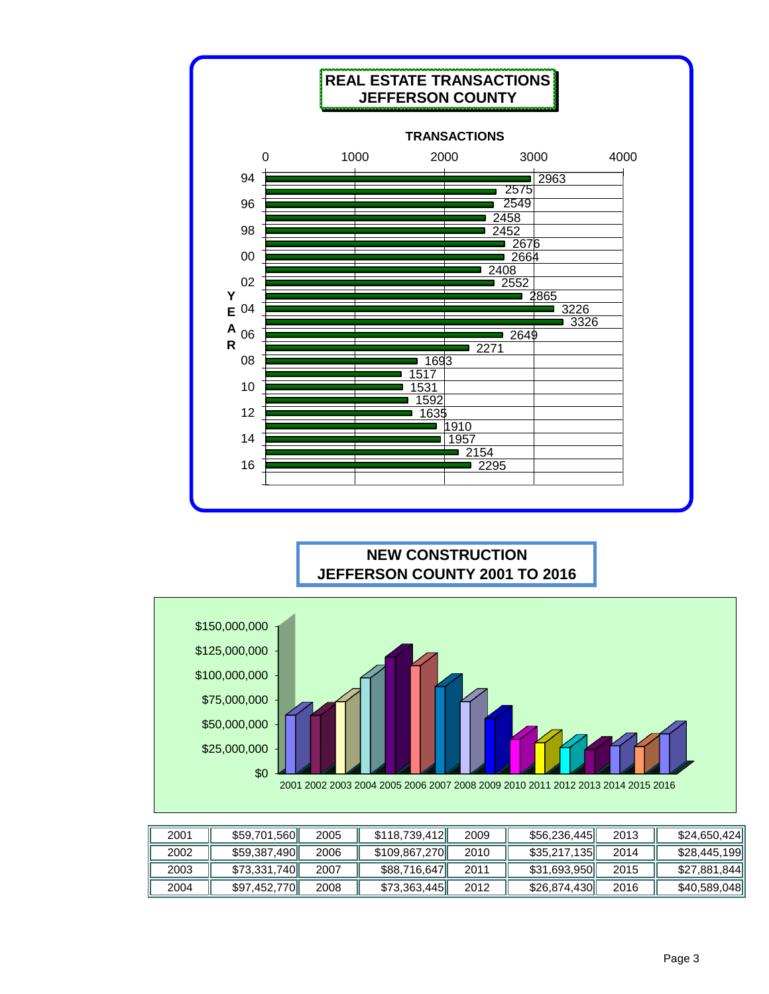

## **NEW CONSTRUCTION JEFFERSON COUNTY 2001 TO 2016**



| 2001 | \$59,701,560 | 2005 | \$118,739,412 | 2009 | \$56,236,445 | 2013 | \$24,650,424 |
|------|--------------|------|---------------|------|--------------|------|--------------|
| 2002 | \$59,387,490 | 2006 | \$109,867,270 | 2010 | \$35,217,135 | 2014 | \$28,445,199 |
| 2003 | \$73,331,740 | 2007 | \$88,716,647  | 2011 | \$31,693,950 | 2015 | \$27,881,844 |
| 2004 | \$97,452,770 | 2008 | \$73,363,445  | 2012 | \$26,874,430 | 2016 | \$40,589,048 |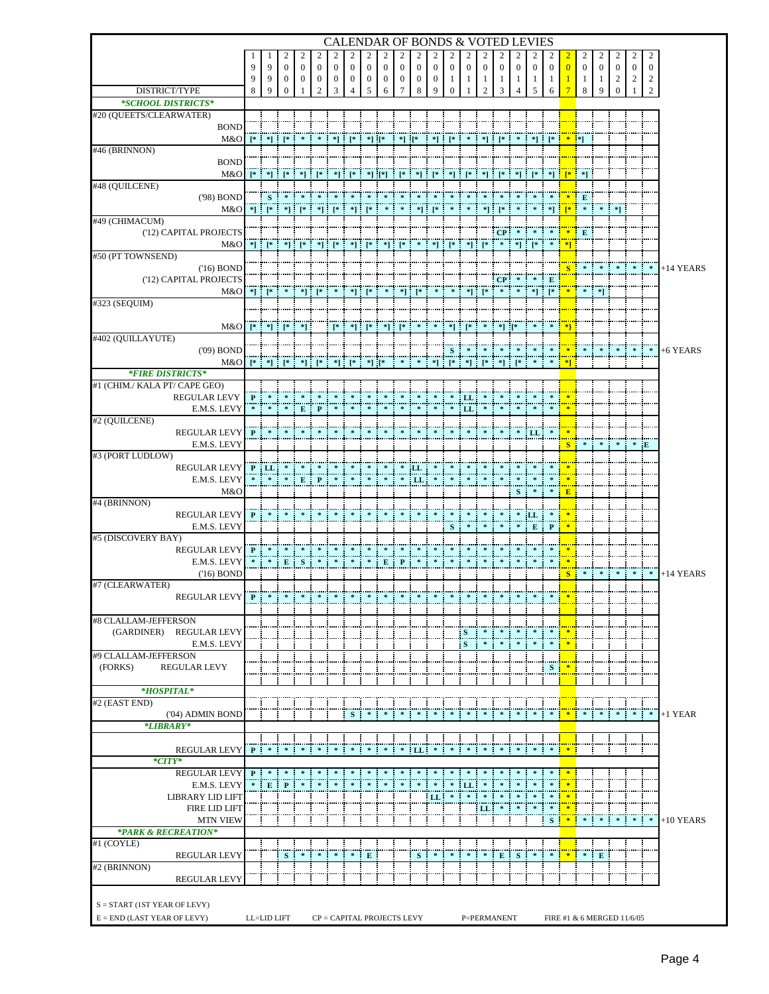|                                         |                |                                                       |                              |               |                                |                   |                |                       |                   |                       |                            |               |                             |                     |                                |                 |              | CALENDAR OF BONDS & VOTED LEVIES |                                           |                |              |                        |                             |                            |                     |             |
|-----------------------------------------|----------------|-------------------------------------------------------|------------------------------|---------------|--------------------------------|-------------------|----------------|-----------------------|-------------------|-----------------------|----------------------------|---------------|-----------------------------|---------------------|--------------------------------|-----------------|--------------|----------------------------------|-------------------------------------------|----------------|--------------|------------------------|-----------------------------|----------------------------|---------------------|-------------|
|                                         |                |                                                       | 2                            | 2             | 2                              | 2                 |                |                       |                   |                       |                            |               |                             |                     |                                |                 |              |                                  | 2                                         |                |              |                        |                             |                            | 2                   |             |
|                                         | 9              | 9                                                     | $\theta$                     | $\mathbf{0}$  | $\mathbf{0}$                   | $\mathbf{0}$      | $\mathbf{0}$   | $\mathbf{0}$          | $\mathbf{0}$      | $\mathbf{0}$          | $\mathbf{0}$               | $\mathbf{0}$  | $\mathbf{0}$                | $\mathbf{0}$        | $\mathbf{0}$                   | $\mathbf{0}$    | $\mathbf{0}$ | $\Omega$                         | $\mathbf{0}$                              | $\Omega$       | $\mathbf{0}$ | $\mathbf{0}$           | $\mathbf{0}$                | $\mathbf{0}$               | $\overline{0}$      |             |
| DISTRICT/TYPE                           | 9<br>8         | 9<br>9                                                | $\mathbf{0}$<br>$\mathbf{0}$ | $\bf{0}$<br>1 | $\mathbf{0}$<br>$\overline{c}$ | $\mathbf{0}$<br>3 | $\bf{0}$<br>Δ  | $\boldsymbol{0}$<br>5 | $\mathbf{0}$<br>6 | $\boldsymbol{0}$<br>7 | $\bf{0}$<br>8              | $\bf{0}$<br>9 | 1<br>$\mathbf{0}$           | 1                   | $\mathbf{1}$<br>$\overline{c}$ | 1<br>3          | 1<br>4       | 1<br>5                           | -1<br>6                                   |                | -1<br>8      | 1<br>q                 | $\overline{c}$<br>$\Omega$  | $\overline{c}$             | $\overline{c}$<br>2 |             |
| *SCHOOL DISTRICTS*                      |                |                                                       |                              |               |                                |                   |                |                       |                   |                       |                            |               |                             |                     |                                |                 |              |                                  |                                           |                |              |                        |                             |                            |                     |             |
| #20 (QUEETS/CLEARWATER)                 |                |                                                       |                              |               |                                |                   |                |                       |                   |                       |                            |               |                             |                     |                                |                 |              |                                  |                                           |                |              |                        |                             |                            |                     |             |
| <b>BOND</b>                             |                |                                                       |                              |               |                                |                   |                |                       |                   |                       |                            |               |                             |                     |                                |                 |              |                                  |                                           |                |              |                        |                             |                            |                     |             |
| M&O<br>#46 (BRINNON)                    |                | $[ *   * ] [ * ]$                                     |                              |               |                                |                   | $\mathbf{I}^*$ | *] [*                 |                   | *] [*                 |                            |               | *] [*                       |                     |                                | $*$ ] [*        |              |                                  | *] [*                                     | $*$ $*$        |              |                        |                             |                            |                     |             |
| <b>BOND</b>                             |                |                                                       |                              |               |                                |                   |                |                       |                   |                       |                            |               |                             |                     |                                |                 |              |                                  |                                           |                |              |                        |                             |                            |                     |             |
| M&O                                     |                |                                                       |                              |               |                                | *1.               | $\mathsf{I}^*$ |                       | $*$ ] $[*]$       | T* I                  | *] :                       |               | *1.                         |                     | *1 :                           |                 |              |                                  | *11                                       |                |              |                        |                             |                            |                     |             |
| #48 (QUILCENE)                          |                |                                                       |                              |               |                                |                   |                |                       |                   |                       |                            |               |                             |                     |                                |                 |              |                                  |                                           |                |              |                        |                             |                            |                     |             |
| ('98) BOND                              |                | S                                                     |                              |               |                                |                   |                |                       |                   |                       |                            |               |                             |                     |                                |                 |              |                                  |                                           |                | E            |                        |                             |                            |                     |             |
| M&O<br>#49 (CHIMACUM)                   |                | $*$ ] [*                                              |                              | $*$ ] [*      |                                |                   | H.             |                       |                   |                       |                            |               |                             |                     |                                |                 |              |                                  |                                           |                |              |                        | $*$ ]                       |                            |                     |             |
| ('12) CAPITAL PROJECTS                  |                |                                                       |                              |               |                                |                   |                |                       |                   |                       |                            |               |                             |                     |                                | CP              |              |                                  |                                           |                | E            |                        |                             |                            |                     |             |
| M&O                                     |                | $\ddot{\hspace{0.1cm}}^*$ [ $\ddot{\hspace{0.1cm}}^*$ |                              |               |                                |                   |                | *] [*                 |                   | *] [*                 |                            | *1 :          | ⊺*                          |                     | *] [*                          |                 |              | *] [*                            |                                           | <u> 1 *1 i</u> |              |                        |                             |                            |                     |             |
| #50 (PT TOWNSEND)                       |                |                                                       |                              |               |                                |                   |                |                       |                   |                       |                            |               |                             |                     |                                |                 |              |                                  |                                           |                |              |                        |                             |                            |                     |             |
| $(16)$ BOND<br>('12) CAPITAL PROJECTS   |                |                                                       |                              |               |                                |                   |                |                       |                   |                       |                            |               |                             |                     |                                | CP <sub>1</sub> |              |                                  | E                                         |                |              |                        |                             |                            | $\ast$              | $+14$ YEARS |
| M&O                                     |                | $*$ $*$                                               |                              | $^*$ 1        | ⊺*                             |                   |                | $*$ $*$               | $\mathcal{H}$     | $\mathbf{F}$          | $\mathbb{R}^*$ :           | $\sim$        | $\mathcal{R}_{\mathcal{A}}$ |                     | $*$ ] [*                       | $\ast$          | $\approx$    | $\mathbf{F}$                     | $\mathbb{R}$ $*$                          |                | $\approx$    | $\left[ \cdot \right]$ |                             |                            |                     |             |
| #323 (SEQUIM)                           |                |                                                       |                              |               |                                |                   |                |                       |                   |                       |                            |               |                             |                     |                                |                 |              |                                  |                                           |                |              |                        |                             |                            |                     |             |
|                                         |                |                                                       |                              |               |                                |                   |                |                       |                   |                       |                            |               |                             |                     |                                |                 |              |                                  |                                           |                |              |                        |                             |                            |                     |             |
| M&O<br>#402 (QUILLAYUTE)                |                |                                                       | $*$ ] [*                     |               |                                |                   |                | *] [*                 |                   |                       |                            |               | *] :                        |                     |                                |                 |              |                                  |                                           |                |              |                        |                             |                            |                     |             |
| $(09)$ BOND                             |                |                                                       |                              |               |                                |                   |                |                       |                   |                       |                            |               | S                           |                     |                                |                 |              |                                  |                                           |                |              |                        |                             |                            |                     | +6 YEARS    |
| M&O                                     |                |                                                       |                              |               |                                |                   |                |                       |                   |                       |                            |               |                             |                     |                                |                 |              |                                  |                                           |                |              |                        |                             |                            |                     |             |
| *FIRE DISTRICTS*                        |                |                                                       |                              |               |                                |                   |                |                       |                   |                       |                            |               |                             |                     |                                |                 |              |                                  |                                           |                |              |                        |                             |                            |                     |             |
| #1 (CHIM./ KALA PT/ CAPE GEO)           |                | $\approx$                                             |                              |               |                                |                   | *              | $\ast$                | $\mathcal{H}$     | $\ast$                | $\ast$                     | $\ast$        | $\frac{1}{2}$               |                     |                                |                 |              |                                  |                                           |                |              |                        |                             |                            |                     |             |
| <b>REGULAR LEVY</b><br>E.M.S. LEVY      | $\mathbf{P}^-$ |                                                       |                              | Е             |                                |                   |                |                       |                   |                       |                            |               |                             | LL<br>LL            |                                |                 |              |                                  |                                           |                |              |                        |                             |                            |                     |             |
| #2 (QUILCENE)                           |                |                                                       |                              |               |                                |                   |                |                       |                   |                       |                            |               |                             |                     |                                |                 |              |                                  |                                           |                |              |                        |                             |                            |                     |             |
| <b>REGULAR LEVY</b>                     | P              |                                                       |                              |               |                                |                   |                |                       |                   |                       |                            |               |                             |                     |                                |                 |              | LL                               |                                           |                |              |                        |                             |                            |                     |             |
| E.M.S. LEVY                             |                |                                                       |                              |               |                                |                   |                |                       |                   |                       |                            |               |                             |                     |                                |                 |              |                                  |                                           |                |              |                        |                             |                            | E                   |             |
| #3 (PORT LUDLOW)<br><b>REGULAR LEVY</b> |                | P LL                                                  |                              |               |                                |                   |                |                       |                   |                       | ШL                         |               |                             |                     |                                |                 |              |                                  |                                           |                |              |                        |                             |                            |                     |             |
| E.M.S. LEVY                             |                |                                                       |                              | E             | P                              |                   |                |                       |                   |                       | ' LL                       |               |                             |                     |                                |                 |              |                                  |                                           |                |              |                        |                             |                            |                     |             |
| M&O                                     |                |                                                       |                              |               |                                |                   |                |                       |                   |                       |                            |               |                             |                     |                                |                 | s            |                                  |                                           | ÷.<br>E        |              |                        |                             |                            |                     |             |
| #4 (BRINNON)                            |                |                                                       |                              |               |                                |                   |                |                       |                   |                       |                            |               |                             |                     |                                |                 |              |                                  |                                           |                |              |                        |                             |                            |                     |             |
| <b>REGULAR LEVY</b><br>E.M.S. LEVY      | P              |                                                       |                              |               |                                |                   |                |                       |                   |                       |                            |               |                             |                     |                                |                 |              | ¦LL                              | P                                         |                |              |                        |                             |                            |                     |             |
| #5 (DISCOVERY BAY)                      |                |                                                       |                              |               |                                |                   |                |                       |                   |                       |                            |               | S                           |                     |                                |                 |              | E                                |                                           |                |              |                        |                             |                            |                     |             |
| <b>REGULAR LEVY</b>                     | $\mathbf{P}$   |                                                       |                              |               |                                |                   |                |                       |                   |                       |                            |               |                             |                     |                                |                 |              |                                  |                                           |                |              |                        |                             |                            |                     |             |
| E.M.S. LEVY                             |                |                                                       | E                            | -S<br>÷       |                                |                   |                |                       | Е                 | $\mathbf{P}$          |                            |               |                             |                     |                                |                 |              |                                  |                                           |                |              |                        |                             |                            |                     |             |
| $(16)$ BOND                             |                |                                                       |                              |               |                                |                   |                |                       |                   |                       |                            |               |                             |                     |                                |                 |              |                                  |                                           | <b>S</b>       |              |                        |                             |                            | $\ast$              | $+14$ YEARS |
| #7 (CLEARWATER)<br>REGULAR LEVY         | P              |                                                       |                              |               |                                |                   |                |                       |                   |                       |                            |               |                             |                     |                                |                 |              |                                  |                                           |                |              |                        |                             |                            |                     |             |
|                                         |                |                                                       |                              |               |                                |                   |                |                       |                   |                       |                            |               |                             |                     |                                |                 |              |                                  |                                           |                |              |                        |                             |                            |                     |             |
| #8 CLALLAM-JEFFERSON                    |                |                                                       |                              |               |                                |                   |                |                       |                   |                       |                            |               |                             |                     |                                |                 |              |                                  |                                           |                |              |                        |                             |                            |                     |             |
| (GARDINER) REGULAR LEVY                 |                |                                                       |                              |               |                                |                   |                |                       |                   |                       |                            |               |                             | s                   |                                |                 |              |                                  |                                           |                |              |                        |                             |                            |                     |             |
| E.M.S. LEVY<br>#9 CLALLAM-JEFFERSON     |                |                                                       |                              |               |                                |                   |                |                       |                   |                       |                            |               |                             | ${\bf S}$           | 幸                              |                 |              |                                  | $\mathcal{H}$                             | 噪              |              |                        |                             |                            |                     |             |
| (FORKS)<br><b>REGULAR LEVY</b>          |                |                                                       |                              |               |                                |                   |                |                       |                   |                       |                            |               |                             |                     |                                |                 |              |                                  | S <sub>1</sub>                            | 啼              |              |                        |                             |                            |                     |             |
|                                         |                |                                                       |                              |               |                                |                   |                |                       |                   |                       |                            |               |                             |                     |                                |                 |              |                                  |                                           |                |              |                        |                             |                            |                     |             |
| $*HOSPITAL*$                            |                |                                                       |                              |               |                                |                   |                |                       |                   |                       |                            |               |                             |                     |                                |                 |              |                                  |                                           |                |              |                        |                             |                            |                     |             |
| #2 (EAST END)                           |                |                                                       |                              |               |                                |                   |                |                       | $\ast$            | $\approx$             | $\approx$                  | $\approx$     |                             |                     | $\approx$                      |                 |              |                                  |                                           |                |              | $\approx$              | $\mathcal{R} = \mathcal{R}$ | $\mathcal{R}$              | $\ast$              | $+1$ YEAR   |
| ('04) ADMIN BOND<br>*LIBRARY*           |                |                                                       |                              |               |                                |                   | S              |                       |                   |                       |                            |               |                             |                     |                                |                 |              |                                  |                                           |                |              |                        |                             |                            |                     |             |
|                                         |                |                                                       |                              |               |                                |                   |                |                       |                   |                       |                            |               |                             |                     |                                |                 |              |                                  |                                           |                |              |                        |                             |                            |                     |             |
| <b>REGULAR LEVY</b>                     | P              | $\ast$                                                | *                            | $\mathcal{R}$ | $\ast$                         | $\ast$<br>л       | ÷.<br>$\ast$   | $\ast$                | $\mathcal{R}$     | $\ast$                | LL                         | $\ast$        | $\mathcal{R}$<br>÷          | $\ast$              | ÷<br>$\ast$                    | -9<br>$\ast$    | $\ast$       | $\ast$                           | $\mathcal{R}$                             | $\blacksquare$ |              |                        |                             | н                          |                     |             |
| $*CITY*$                                |                |                                                       |                              |               |                                |                   |                |                       |                   |                       |                            |               |                             |                     |                                |                 |              |                                  |                                           |                |              |                        |                             |                            |                     |             |
| <b>REGULAR LEVY</b><br>E.M.S. LEVY      |                | $P$ *<br>$*$ E                                        | $\approx$<br>$\mathbf{P}$    |               |                                |                   |                |                       |                   |                       |                            | 案             |                             | LL                  |                                |                 |              |                                  | $\ast$<br>л                               | $\frac{1}{2}$  |              |                        |                             |                            |                     |             |
| <b>LIBRARY LID LIFT</b>                 |                |                                                       |                              |               |                                |                   |                |                       |                   |                       |                            | LL            |                             | $\mathcal{H}$       |                                |                 |              |                                  |                                           |                |              |                        |                             |                            |                     |             |
| <b>FIRE LID LIFT</b>                    |                |                                                       |                              |               |                                |                   |                |                       |                   |                       |                            |               |                             |                     | ¦ LL                           |                 |              |                                  |                                           |                |              |                        |                             |                            |                     |             |
| <b>MTN VIEW</b>                         |                |                                                       |                              |               |                                |                   |                |                       |                   |                       |                            |               |                             |                     |                                |                 |              |                                  | s i                                       | 楽              |              |                        |                             |                            | $\ast$              | $+10$ YEARS |
| *PARK & RECREATION*<br>#1 (COYLE)       |                |                                                       |                              |               |                                |                   |                |                       |                   |                       |                            |               |                             |                     |                                |                 |              |                                  |                                           |                |              |                        |                             |                            |                     |             |
| <b>REGULAR LEVY</b>                     |                |                                                       | S<br>÷                       | $\ast$        | $\ast$                         | $\ast$            | $\ast$         | E                     |                   |                       | S                          | $\ast$        | $\mathcal{R}$<br>÷          | $\mathcal{R}$<br>-8 | $\ast$                         |                 | $E$ S        | $\ast$                           | $\frac{1}{2}$ $\frac{1}{2}$ $\frac{1}{2}$ |                | $\ast$       | E                      |                             |                            |                     |             |
| #2 (BRINNON)                            |                |                                                       |                              |               |                                |                   |                |                       |                   |                       |                            |               |                             |                     |                                |                 |              |                                  |                                           |                |              |                        |                             |                            |                     |             |
| <b>REGULAR LEVY</b>                     |                |                                                       |                              |               |                                |                   |                |                       |                   |                       |                            |               |                             |                     |                                |                 |              |                                  |                                           |                |              |                        |                             |                            |                     |             |
|                                         |                |                                                       |                              |               |                                |                   |                |                       |                   |                       |                            |               |                             |                     |                                |                 |              |                                  |                                           |                |              |                        |                             |                            |                     |             |
| $S = \text{START} (1ST YEAR OF LEVY)$   |                |                                                       |                              |               |                                |                   |                |                       |                   |                       |                            |               |                             |                     |                                |                 |              |                                  |                                           |                |              |                        |                             |                            |                     |             |
| $E = END$ (LAST YEAR OF LEVY)           |                | LL=LID LIFT                                           |                              |               |                                |                   |                |                       |                   |                       | CP = CAPITAL PROJECTS LEVY |               |                             |                     |                                | P=PERMANENT     |              |                                  |                                           |                |              |                        |                             | FIRE #1 & 6 MERGED 11/6/05 |                     |             |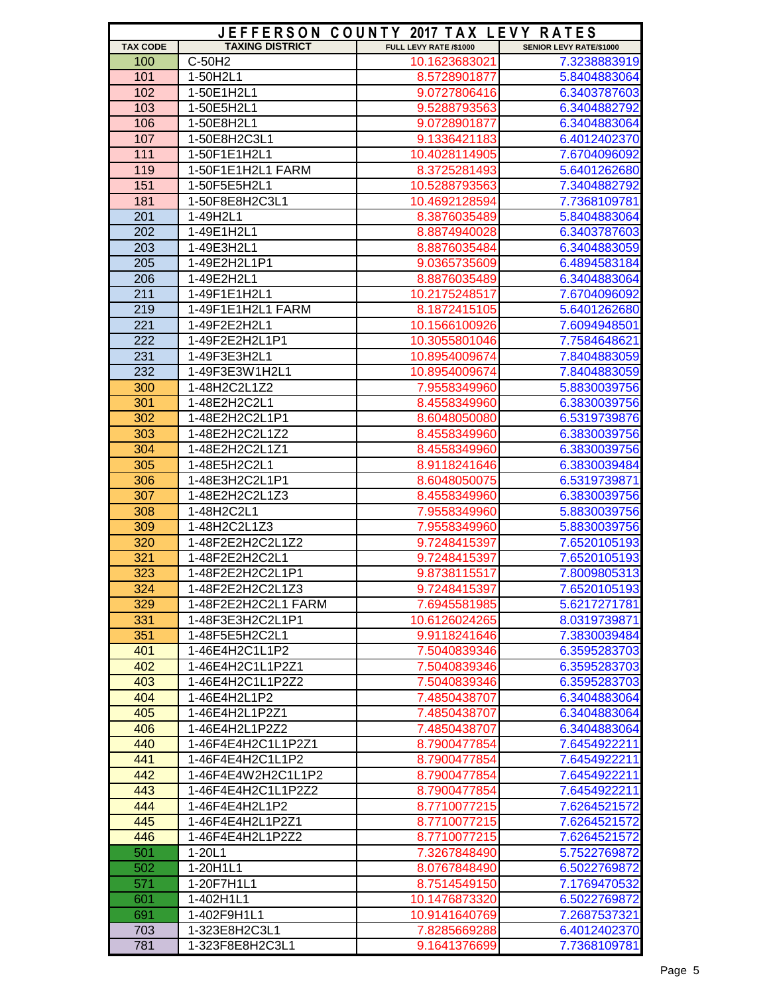|                 |                        | JEFFERSON COUNTY 2017 TAX LEVY RATES |                                |
|-----------------|------------------------|--------------------------------------|--------------------------------|
| <b>TAX CODE</b> | <b>TAXING DISTRICT</b> | FULL LEVY RATE /\$1000               | <b>SENIOR LEVY RATE/\$1000</b> |
| 100             | C-50H2                 | 10.1623683021                        | 7.3238883919                   |
| 101             | 1-50H2L1               | 8.5728901877                         | 5.8404883064                   |
| 102             | 1-50E1H2L1             | 9.0727806416                         | 6.3403787603                   |
| 103             | 1-50E5H2L1             | 9.5288793563                         | 6.3404882792                   |
| 106             | 1-50E8H2L1             | 9.0728901877                         | 6.3404883064                   |
| 107             | 1-50E8H2C3L1           | 9.1336421183                         | 6.4012402370                   |
| 111             | 1-50F1E1H2L1           | 10.4028114905                        | 7.6704096092                   |
| 119             | 1-50F1E1H2L1 FARM      | 8.3725281493                         | 5.6401262680                   |
| 151             | 1-50F5E5H2L1           | 10.5288793563                        | 7.3404882792                   |
| 181             | 1-50F8E8H2C3L1         | 10.4692128594                        | 7.7368109781                   |
| 201             | 1-49H2L1               | 8.3876035489                         | 5.8404883064                   |
| 202             | 1-49E1H2L1             | 8.8874940028                         | 6.3403787603                   |
| 203             | 1-49E3H2L1             | 8.8876035484                         | 6.3404883059                   |
| 205             | 1-49E2H2L1P1           | 9.0365735609                         | 6.4894583184                   |
| 206             | 1-49E2H2L1             | 8.8876035489                         | 6.3404883064                   |
| 211             | 1-49F1E1H2L1           | 10.2175248517                        | 7.6704096092                   |
| 219             | 1-49F1E1H2L1 FARM      | 8.1872415105                         | 5.6401262680                   |
| 221             | 1-49F2E2H2L1           | 10.1566100926                        | 7.6094948501                   |
| 222             | 1-49F2E2H2L1P1         | 10.3055801046                        | 7.7584648621                   |
| 231             | 1-49F3E3H2L1           | 10.8954009674                        | 7.8404883059                   |
| 232             | 1-49F3E3W1H2L1         | 10.8954009674                        | 7.8404883059                   |
| 300             | 1-48H2C2L1Z2           | 7.9558349960                         | 5.8830039756                   |
| 301             | 1-48E2H2C2L1           | 8.4558349960                         | 6.3830039756                   |
| 302             | 1-48E2H2C2L1P1         | 8.6048050080                         | 6.5319739876                   |
| 303             | 1-48E2H2C2L1Z2         | 8.4558349960                         | 6.3830039756                   |
| 304             | 1-48E2H2C2L1Z1         | 8.4558349960                         |                                |
| 305             | 1-48E5H2C2L1           |                                      | 6.3830039756                   |
| 306             | 1-48E3H2C2L1P1         | 8.9118241646<br>8.6048050075         | 6.3830039484<br>6.5319739871   |
| 307             | 1-48E2H2C2L1Z3         |                                      |                                |
|                 |                        | 8.4558349960                         | 6.3830039756                   |
| 308             | 1-48H2C2L1             | 7.9558349960                         | 5.8830039756                   |
| 309             | 1-48H2C2L1Z3           | 7.9558349960                         | 5.8830039756                   |
| 320             | 1-48F2E2H2C2L1Z2       | 9.7248415397                         | 7.6520105193                   |
| 321             | 1-48F2E2H2C2L1         | 9.7248415397                         | 7.6520105193                   |
| 323             | 1-48F2E2H2C2L1P1       | 9.8738115517                         | 7.8009805313                   |
| 324             | 1-48F2E2H2C2L1Z3       | 9.7248415397                         | 7.6520105193                   |
| 329             | 1-48F2E2H2C2L1 FARM    | 7.6945581985                         | 5.6217271781                   |
| 331             | 1-48F3E3H2C2L1P1       | 10.6126024265                        | 8.0319739871                   |
| 351             | 1-48F5E5H2C2L1         | 9.9118241646                         | 7.3830039484                   |
| 401             | 1-46E4H2C1L1P2         | 7.5040839346                         | 6.3595283703                   |
| 402             | 1-46E4H2C1L1P2Z1       | 7.5040839346                         | 6.3595283703                   |
| 403             | 1-46E4H2C1L1P2Z2       | 7.5040839346                         | 6.3595283703                   |
| 404             | 1-46E4H2L1P2           | 7.4850438707                         | 6.3404883064                   |
| 405             | 1-46E4H2L1P2Z1         | 7.4850438707                         | 6.3404883064                   |
| 406             | 1-46E4H2L1P2Z2         | 7.4850438707                         | 6.3404883064                   |
| 440             | 1-46F4E4H2C1L1P2Z1     | 8.7900477854                         | 7.6454922211                   |
| 441             | 1-46F4E4H2C1L1P2       | 8.7900477854                         | 7.6454922211                   |
| 442             | 1-46F4E4W2H2C1L1P2     | 8.7900477854                         | 7.6454922211                   |
| 443             | 1-46F4E4H2C1L1P2Z2     | 8.7900477854                         | 7.6454922211                   |
| 444             | 1-46F4E4H2L1P2         | 8.7710077215                         | 7.6264521572                   |
| 445             | 1-46F4E4H2L1P2Z1       | 8.7710077215                         | 7.6264521572                   |
| 446             | 1-46F4E4H2L1P2Z2       | 8.7710077215                         | 7.6264521572                   |
| 501             | $1 - 20L1$             | 7.3267848490                         | 5.7522769872                   |
| 502             | 1-20H1L1               | 8.0767848490                         | 6.5022769872                   |
| 571             | 1-20F7H1L1             | 8.7514549150                         | 7.1769470532                   |
| 601             | 1-402H1L1              | 10.1476873320                        | 6.5022769872                   |
| 691             | 1-402F9H1L1            | 10.9141640769                        | 7.2687537321                   |
| 703             | 1-323E8H2C3L1          | 7.8285669288                         | 6.4012402370                   |
| 781             | 1-323F8E8H2C3L1        | 9.1641376699                         | 7.7368109781                   |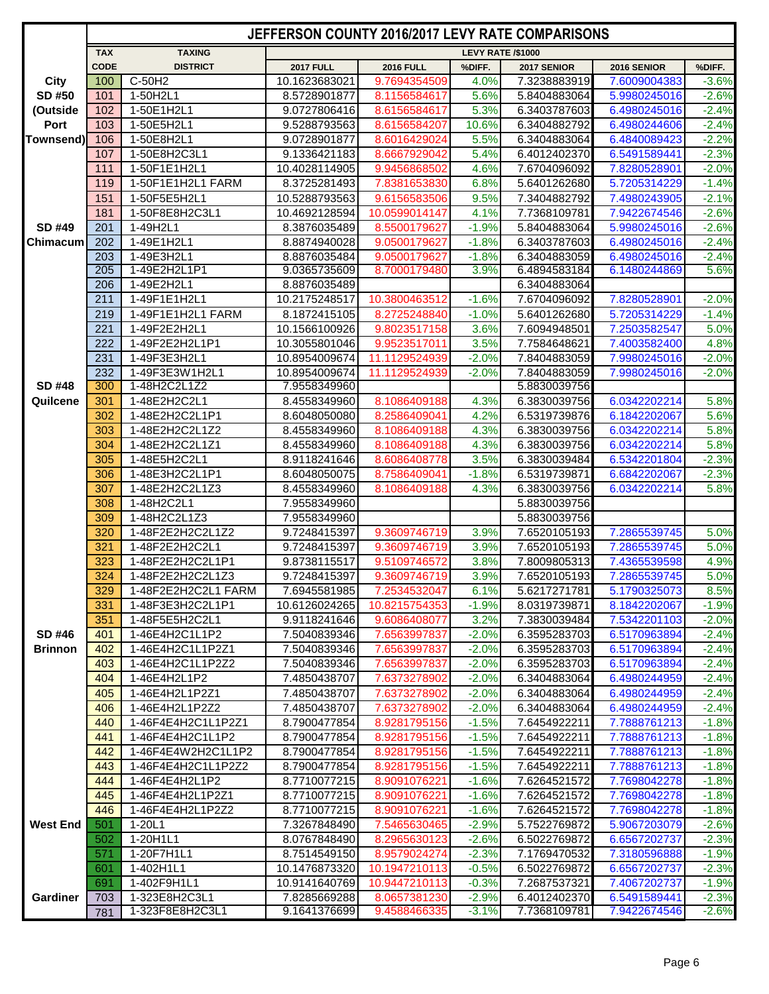|                 |             |                                      | JEFFERSON COUNTY 2016/2017 LEVY RATE COMPARISONS |                              |                          |                              |                              |                    |
|-----------------|-------------|--------------------------------------|--------------------------------------------------|------------------------------|--------------------------|------------------------------|------------------------------|--------------------|
|                 | <b>TAX</b>  | <b>TAXING</b>                        |                                                  |                              | <b>LEVY RATE /\$1000</b> |                              |                              |                    |
|                 | <b>CODE</b> | <b>DISTRICT</b>                      | <b>2017 FULL</b>                                 | <b>2016 FULL</b>             | %DIFF.                   | 2017 SENIOR                  | 2016 SENIOR                  | %DIFF.             |
| <b>City</b>     | 100         | C-50H2                               | 10.1623683021                                    | 9.7694354509                 | 4.0%                     | 7.3238883919                 | 7.6009004383                 | $-3.6%$            |
| SD #50          | 101         | 1-50H2L1                             | 8.5728901877                                     | 8.1156584617                 | 5.6%                     | 5.8404883064                 | 5.9980245016                 | $-2.6%$            |
| (Outside        | 102         | 1-50E1H2L1                           | 9.0727806416                                     | 8.6156584617                 | 5.3%                     | 6.3403787603                 | 6.4980245016                 | $-2.4%$            |
| Port            | 103         | 1-50E5H2L1                           | 9.5288793563                                     | 8.6156584207                 | 10.6%                    | 6.3404882792                 | 6.4980244606                 | $-2.4%$            |
| Townsend)       | 106         | 1-50E8H2L1                           | 9.0728901877                                     | 8.6016429024                 | 5.5%                     | 6.3404883064                 | 6.4840089423                 | $-2.2%$            |
|                 | 107         | 1-50E8H2C3L1                         | 9.1336421183                                     | 8.6667929042                 | 5.4%                     | 6.4012402370                 | 6.5491589441                 | $-2.3%$            |
|                 | 111         | 1-50F1E1H2L1                         | 10.4028114905                                    | 9.9456868502                 | 4.6%                     | 7.6704096092                 | 7.8280528901                 | $-2.0%$            |
|                 | 119         | 1-50F1E1H2L1 FARM                    | 8.3725281493<br>10.5288793563                    | 7.8381653830                 | 6.8%                     | 5.6401262680                 | 5.7205314229                 | $-1.4%$            |
|                 | 151         | 1-50F5E5H2L1                         |                                                  | 9.6156583506                 | 9.5%<br>4.1%             | 7.3404882792                 | 7.4980243905                 | $-2.1%$            |
| SD #49          | 181         | 1-50F8E8H2C3L1                       | 10.4692128594                                    | 10.0599014147                |                          | 7.7368109781                 | 7.9422674546                 | $-2.6%$            |
| Chimacum        | 201<br>202  | 1-49H2L1<br>1-49E1H2L1               | 8.3876035489<br>8.8874940028                     | 8.5500179627<br>9.0500179627 | $-1.9%$<br>$-1.8%$       | 5.8404883064<br>6.3403787603 | 5.9980245016<br>6.4980245016 | $-2.6%$            |
|                 | 203         | 1-49E3H2L1                           | 8.8876035484                                     | 9.0500179627                 | $-1.8%$                  | 6.3404883059                 | 6.4980245016                 | $-2.4%$<br>$-2.4%$ |
|                 | 205         | 1-49E2H2L1P1                         | 9.0365735609                                     | 8.7000179480                 | 3.9%                     | 6.4894583184                 | 6.1480244869                 | 5.6%               |
|                 | 206         | 1-49E2H2L1                           | 8.8876035489                                     |                              |                          | 6.3404883064                 |                              |                    |
|                 | 211         | 1-49F1E1H2L1                         | 10.2175248517                                    | 10.3800463512                | $-1.6%$                  | 7.6704096092                 | 7.8280528901                 | $-2.0%$            |
|                 | 219         | 1-49F1E1H2L1 FARM                    | 8.1872415105                                     | 8.2725248840                 | $-1.0%$                  | 5.6401262680                 | 5.7205314229                 | $-1.4%$            |
|                 | 221         | 1-49F2E2H2L1                         | 10.1566100926                                    | 9.8023517158                 | 3.6%                     | 7.6094948501                 | 7.2503582547                 | 5.0%               |
|                 | 222         | 1-49F2E2H2L1P1                       | 10.3055801046                                    | 9.9523517011                 | 3.5%                     | 7.7584648621                 | 7.4003582400                 | 4.8%               |
|                 | 231         | 1-49F3E3H2L1                         | 10.8954009674                                    | 11.1129524939                | $-2.0%$                  | 7.8404883059                 | 7.9980245016                 | $-2.0%$            |
|                 | 232         | 1-49F3E3W1H2L1                       | 10.8954009674                                    | 11.1129524939                | $-2.0%$                  | 7.8404883059                 | 7.9980245016                 | $-2.0%$            |
| <b>SD #48</b>   | 300         | 1-48H2C2L1Z2                         | 7.9558349960                                     |                              |                          | 5.8830039756                 |                              |                    |
| Quilcene        | 301         | 1-48E2H2C2L1                         | 8.4558349960                                     | 8.1086409188                 | 4.3%                     | 6.3830039756                 | 6.0342202214                 | 5.8%               |
|                 | 302         | 1-48E2H2C2L1P1                       | 8.6048050080                                     | 8.2586409041                 | 4.2%                     | 6.5319739876                 | 6.1842202067                 | 5.6%               |
|                 | 303         | 1-48E2H2C2L1Z2                       | 8.4558349960                                     | 8.1086409188                 | 4.3%                     | 6.3830039756                 | 6.0342202214                 | 5.8%               |
|                 | 304         | 1-48E2H2C2L1Z1                       | 8.4558349960                                     | 8.1086409188                 | 4.3%                     | 6.3830039756                 | 6.0342202214                 | 5.8%               |
|                 | 305         | 1-48E5H2C2L1                         | 8.9118241646                                     | 8.6086408778                 | 3.5%                     | 6.3830039484                 | 6.5342201804                 | $-2.3%$            |
|                 | 306         | 1-48E3H2C2L1P1                       | 8.6048050075                                     | 8.7586409041                 | $-1.8%$                  | 6.5319739871                 | 6.6842202067                 | $-2.3%$            |
|                 | 307         | 1-48E2H2C2L1Z3                       | 8.4558349960                                     | 8.1086409188                 | 4.3%                     | 6.3830039756                 | 6.0342202214                 | 5.8%               |
|                 | 308         | 1-48H2C2L1                           | 7.9558349960                                     |                              |                          | 5.8830039756                 |                              |                    |
|                 | 309         | 1-48H2C2L1Z3                         | 7.9558349960                                     |                              |                          | 5.8830039756                 |                              |                    |
|                 | 320         | 1-48F2E2H2C2L1Z2                     | 9.7248415397                                     | 9.3609746719                 | 3.9%                     | 7.6520105193                 | 7.2865539745                 | 5.0%               |
|                 | 321         | 1-48F2E2H2C2L1                       | 9.7248415397                                     | 9.3609746719                 | 3.9%                     | 7.6520105193                 | 7.2865539745                 | 5.0%               |
|                 | 323         | 1-48F2E2H2C2L1P1                     | 9.8738115517                                     | 9.5109746572                 | 3.8%                     | 7.8009805313                 | 7.4365539598                 | 4.9%               |
|                 | 324         | 1-48F2E2H2C2L1Z3                     | 9.7248415397                                     | 9.3609746719                 | 3.9%                     | 7.6520105193                 | 7.2865539745                 | 5.0%               |
|                 | 329         | 1-48F2E2H2C2L1 FARM                  | 7.6945581985                                     | 7.2534532047                 | 6.1%                     | 5.6217271781                 | 5.1790325073                 | 8.5%               |
|                 | 331         | 1-48F3E3H2C2L1P1                     | 10.6126024265                                    | 10.8215754353                | $-1.9%$                  | 8.0319739871                 | 8.1842202067                 | $-1.9%$            |
|                 | 351         | 1-48F5E5H2C2L1                       | 9.9118241646                                     | 9.6086408077                 | 3.2%                     | 7.3830039484                 | 7.5342201103                 | $-2.0%$            |
| SD #46          | 401         | 1-46E4H2C1L1P2                       | 7.5040839346                                     | 7.6563997837                 | $-2.0%$                  | 6.3595283703                 | 6.5170963894                 | $-2.4%$            |
| <b>Brinnon</b>  | 402         | 1-46E4H2C1L1P2Z1                     | 7.5040839346                                     | 7.6563997837                 | $-2.0%$                  | 6.3595283703                 | 6.5170963894                 | $-2.4%$            |
|                 | 403         | 1-46E4H2C1L1P2Z2                     | 7.5040839346                                     | 7.6563997837                 | $-2.0%$                  | 6.3595283703                 | 6.5170963894                 | $-2.4%$            |
|                 | 404         | 1-46E4H2L1P2                         | 7.4850438707                                     | 7.6373278902                 | $-2.0%$                  | 6.3404883064                 | 6.4980244959                 | $-2.4%$            |
|                 | 405         | 1-46E4H2L1P2Z1                       | 7.4850438707                                     | 7.6373278902                 | $-2.0%$                  | 6.3404883064                 | 6.4980244959                 | $-2.4%$            |
|                 | 406         | 1-46E4H2L1P2Z2                       | 7.4850438707                                     | 7.6373278902                 | $-2.0%$                  | 6.3404883064                 | 6.4980244959                 | $-2.4%$            |
|                 | 440         | 1-46F4E4H2C1L1P2Z1                   | 8.7900477854                                     | 8.9281795156                 | $-1.5%$                  | 7.6454922211                 | 7.7888761213                 | $-1.8%$            |
|                 | 441         | 1-46F4E4H2C1L1P2                     | 8.7900477854                                     | 8.9281795156                 | $-1.5%$                  | 7.6454922211                 | 7.7888761213                 | $-1.8%$            |
|                 | 442         | 1-46F4E4W2H2C1L1P2                   | 8.7900477854                                     | 8.9281795156                 | $-1.5%$                  | 7.6454922211                 | 7.7888761213                 | $-1.8%$            |
|                 | 443         | 1-46F4E4H2C1L1P2Z2                   | 8.7900477854                                     | 8.9281795156                 | $-1.5%$                  | 7.6454922211                 | 7.7888761213                 | $-1.8%$            |
|                 | 444         | 1-46F4E4H2L1P2                       | 8.7710077215                                     | 8.9091076221                 | $-1.6%$                  | 7.6264521572                 | 7.7698042278                 | $-1.8%$            |
|                 | 445<br>446  | 1-46F4E4H2L1P2Z1<br>1-46F4E4H2L1P2Z2 | 8.7710077215<br>8.7710077215                     | 8.9091076221<br>8.9091076221 | $-1.6%$                  | 7.6264521572                 | 7.7698042278<br>7.7698042278 | $-1.8%$            |
| <b>West End</b> | 501         | $1 - 20L1$                           | 7.3267848490                                     | 7.5465630465                 | $-1.6%$<br>$-2.9%$       | 7.6264521572                 |                              | $-1.8%$<br>$-2.6%$ |
|                 | 502         | 1-20H1L1                             | 8.0767848490                                     | 8.2965630123                 | $-2.6%$                  | 5.7522769872<br>6.5022769872 | 5.9067203079<br>6.6567202737 | $-2.3%$            |
|                 | 571         | 1-20F7H1L1                           | 8.7514549150                                     | 8.9579024274                 | $-2.3%$                  | 7.1769470532                 | 7.3180596888                 | $-1.9%$            |
|                 | 601         | 1-402H1L1                            | 10.1476873320                                    | 10.1947210113                | $-0.5%$                  | 6.5022769872                 | 6.6567202737                 | $-2.3%$            |
|                 | 691         | 1-402F9H1L1                          | 10.9141640769                                    | 10.9447210113                | $-0.3%$                  | 7.2687537321                 | 7.4067202737                 | $-1.9%$            |
| Gardiner        | 703         | 1-323E8H2C3L1                        | 7.8285669288                                     | 8.0657381230                 | $-2.9%$                  | 6.4012402370                 | 6.5491589441                 | $-2.3%$            |
|                 | 781         | 1-323F8E8H2C3L1                      | 9.1641376699                                     | 9.4588466335                 | $-3.1%$                  | 7.7368109781                 | 7.9422674546                 | $-2.6%$            |
|                 |             |                                      |                                                  |                              |                          |                              |                              |                    |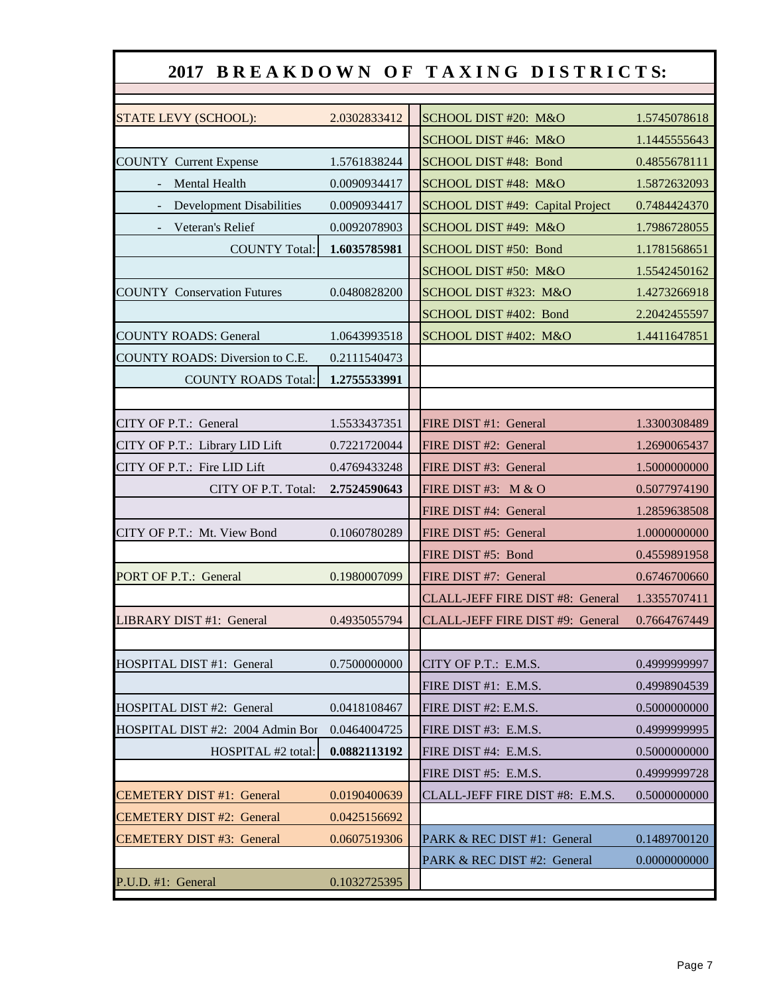|                                    |              | 2017 BREAKDOWN OF TAXING DISTRICTS: |              |
|------------------------------------|--------------|-------------------------------------|--------------|
|                                    |              |                                     |              |
| STATE LEVY (SCHOOL):               | 2.0302833412 | SCHOOL DIST #20: M&O                | 1.5745078618 |
|                                    |              | SCHOOL DIST #46: M&O                | 1.1445555643 |
| <b>COUNTY Current Expense</b>      | 1.5761838244 | SCHOOL DIST #48: Bond               | 0.4855678111 |
| <b>Mental Health</b>               | 0.0090934417 | SCHOOL DIST #48: M&O                | 1.5872632093 |
| <b>Development Disabilities</b>    | 0.0090934417 | SCHOOL DIST #49: Capital Project    | 0.7484424370 |
| Veteran's Relief                   | 0.0092078903 | SCHOOL DIST #49: M&O                | 1.7986728055 |
| <b>COUNTY Total:</b>               | 1.6035785981 | SCHOOL DIST #50: Bond               | 1.1781568651 |
|                                    |              | SCHOOL DIST #50: M&O                | 1.5542450162 |
| <b>COUNTY Conservation Futures</b> | 0.0480828200 | SCHOOL DIST #323: M&O               | 1.4273266918 |
|                                    |              | SCHOOL DIST #402: Bond              | 2.2042455597 |
| <b>COUNTY ROADS: General</b>       | 1.0643993518 | SCHOOL DIST #402: M&O               | 1.4411647851 |
| COUNTY ROADS: Diversion to C.E.    | 0.2111540473 |                                     |              |
| <b>COUNTY ROADS Total:</b>         | 1.2755533991 |                                     |              |
|                                    |              |                                     |              |
| CITY OF P.T.: General              | 1.5533437351 | FIRE DIST #1: General               | 1.3300308489 |
| CITY OF P.T.: Library LID Lift     | 0.7221720044 | FIRE DIST #2: General               | 1.2690065437 |
| CITY OF P.T.: Fire LID Lift        | 0.4769433248 | FIRE DIST #3: General               | 1.5000000000 |
| CITY OF P.T. Total:                | 2.7524590643 | FIRE DIST #3: $M & O$               | 0.5077974190 |
|                                    |              | FIRE DIST #4: General               | 1.2859638508 |
| CITY OF P.T.: Mt. View Bond        | 0.1060780289 | FIRE DIST #5: General               | 1.0000000000 |
|                                    |              | FIRE DIST #5: Bond                  | 0.4559891958 |
| PORT OF P.T.: General              | 0.1980007099 | FIRE DIST #7: General               | 0.6746700660 |
|                                    |              | CLALL-JEFF FIRE DIST #8: General    | 1.3355707411 |
| LIBRARY DIST #1: General           | 0.4935055794 | CLALL-JEFF FIRE DIST #9: General    | 0.7664767449 |
|                                    |              |                                     |              |
| HOSPITAL DIST #1: General          | 0.7500000000 | CITY OF P.T.: E.M.S.                | 0.4999999997 |
|                                    |              | FIRE DIST #1: E.M.S.                | 0.4998904539 |
| HOSPITAL DIST #2: General          | 0.0418108467 | FIRE DIST #2: E.M.S.                | 0.5000000000 |
| HOSPITAL DIST #2: 2004 Admin Bor   | 0.0464004725 | FIRE DIST #3: E.M.S.                | 0.4999999995 |
| HOSPITAL #2 total:                 | 0.0882113192 | FIRE DIST #4: E.M.S.                | 0.5000000000 |
|                                    |              | FIRE DIST #5: E.M.S.                | 0.4999999728 |
| <b>CEMETERY DIST #1: General</b>   | 0.0190400639 | CLALL-JEFF FIRE DIST #8: E.M.S.     | 0.5000000000 |
| <b>CEMETERY DIST #2: General</b>   | 0.0425156692 |                                     |              |
| <b>CEMETERY DIST #3: General</b>   | 0.0607519306 | PARK & REC DIST #1: General         | 0.1489700120 |
|                                    |              | PARK & REC DIST #2: General         | 0.0000000000 |
| P.U.D. #1: General                 | 0.1032725395 |                                     |              |
|                                    |              |                                     |              |

Г

ł,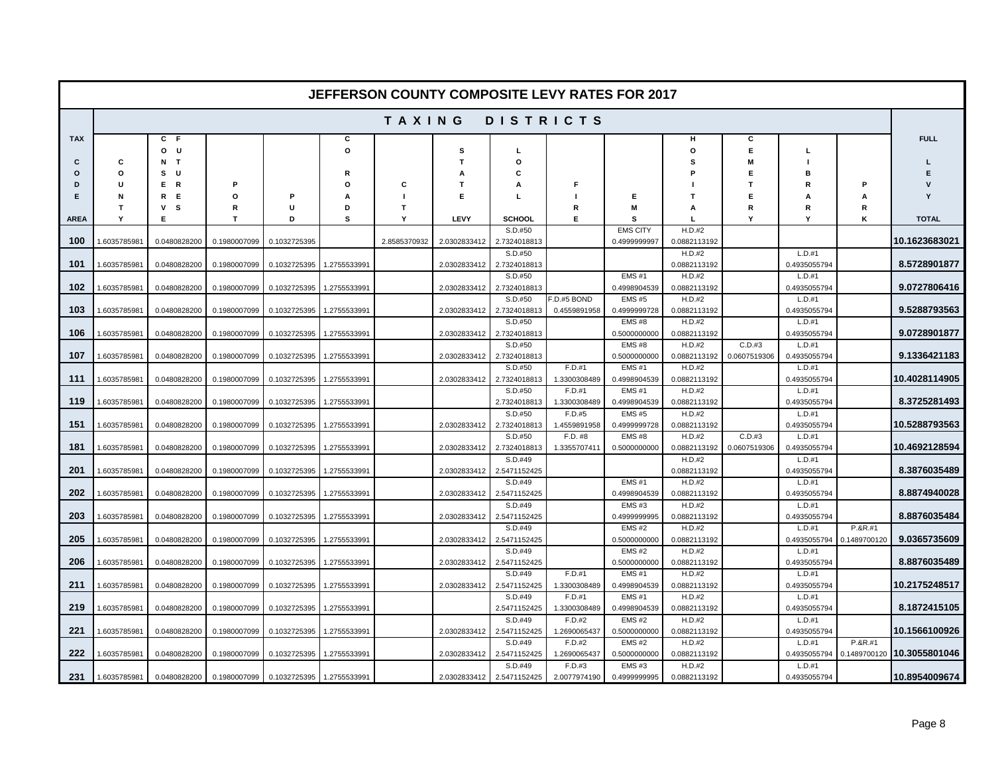|               |                   |                         |              |                           |              |               |              |                         | <b>JEFFERSON COUNTY COMPOSITE LEVY RATES FOR 2017</b> |                               |                        |              |                        |              |               |
|---------------|-------------------|-------------------------|--------------|---------------------------|--------------|---------------|--------------|-------------------------|-------------------------------------------------------|-------------------------------|------------------------|--------------|------------------------|--------------|---------------|
|               |                   |                         |              |                           |              | <b>TAXING</b> |              |                         | DISTRICTS                                             |                               |                        |              |                        |              |               |
| <b>TAX</b>    |                   | $C$ F<br>0 <sub>U</sub> |              |                           | C<br>O       |               | s            | г                       |                                                       |                               | $\circ$                | C<br>E       | л.                     |              | <b>FULL</b>   |
| c<br>$\Omega$ | C<br>$\circ$      | $N$ T<br>s u            |              |                           | R            |               | т            | o<br>C                  |                                                       |                               | s                      | M<br>E       | B                      |              |               |
| D             | U                 | E R                     | P            |                           | $\Omega$     | C             | т            | A                       | F                                                     |                               |                        | $\mathbf T$  | R                      | P            |               |
| F             | N                 | R E                     | $\Omega$     |                           | А            |               | F            | L                       |                                                       | Е                             |                        | E            | Α                      | A            |               |
| <b>AREA</b>   | $\mathsf{T}$<br>Y | $\mathsf{v}$<br>s<br>Е  | R<br>т       | U<br>D                    | D<br>s       | T<br>Y        | LEVY         | <b>SCHOOL</b>           | R<br>Е                                                | M<br>s                        | A                      | R<br>Y       | R<br>Υ                 | R<br>ĸ       | <b>TOTAL</b>  |
|               |                   |                         |              |                           |              |               |              | S.D.#50                 |                                                       | <b>EMS CITY</b>               | H.D.#2                 |              |                        |              |               |
| 100           | 1.6035785981      | 0.0480828200            | 0.1980007099 | 0.1032725395              |              | 2.8585370932  | 2.0302833412 | 2.7324018813            |                                                       | 0.4999999997                  | 0.0882113192           |              |                        |              | 10.1623683021 |
|               |                   |                         |              |                           |              |               |              | S.D.#50                 |                                                       |                               | H.D.#2                 |              | L.D.#1                 |              |               |
| 101           | 1.6035785981      | 0.0480828200            | 0.1980007099 | 0.1032725395              | 1.2755533991 |               | 2.0302833412 | 2.7324018813            |                                                       |                               | 0.0882113192           |              | 0.4935055794           |              | 8.5728901877  |
|               |                   |                         |              |                           |              |               |              | S.D.#50                 |                                                       | <b>EMS#1</b>                  | H.D.#2                 |              | L.D.#1                 |              |               |
| 102           | 1.6035785981      | 0.0480828200            | 0.1980007099 | 0.1032725395              | 1.2755533991 |               | 2.0302833412 | 2.7324018813<br>S.D.#50 | F.D.#5 BOND                                           | 0.4998904539<br><b>EMS #5</b> | 0.0882113192<br>H.D.#2 |              | 0.4935055794<br>L.D.#1 |              | 9.0727806416  |
| 103           | 1.6035785981      | 0.0480828200            | 0.1980007099 | 0.1032725395              | 1.2755533991 |               | 2.0302833412 | 2.7324018813            | 0.4559891958                                          | 0.4999999728                  | 0.0882113192           |              | 0.4935055794           |              | 9.5288793563  |
|               |                   |                         |              |                           |              |               |              | S.D.#50                 |                                                       | EMS#8                         | H.D.#2                 |              | L.D.#1                 |              |               |
| 106           | 1.6035785981      | 0.0480828200            | 0.1980007099 | 0.1032725395              | 1.2755533991 |               | 2.0302833412 | 2.7324018813            |                                                       | 0.5000000000                  | 0.0882113192           |              | 0.4935055794           |              | 9.0728901877  |
|               |                   |                         |              |                           |              |               |              | S.D.#50                 |                                                       | <b>EMS#8</b>                  | H.D.#2                 | C.D.#3       | L.D.#1                 |              |               |
| 107           | 1.6035785981      | 0.0480828200            | 0.1980007099 | 0.1032725395              | 1.2755533991 |               | 2.0302833412 | 2.7324018813<br>S.D.#50 | F.D.#1                                                | 0.5000000000<br><b>EMS#1</b>  | 0.0882113192<br>H.D.#2 | 0.0607519306 | 0.4935055794<br>L.D.#1 |              | 9.1336421183  |
| 111           | 1.6035785981      | 0.0480828200            | 0.1980007099 | 0.1032725395              | 1.2755533991 |               | 2.0302833412 | 2.7324018813            | 1.3300308489                                          | 0.4998904539                  | 0.0882113192           |              | 0.4935055794           |              | 10.4028114905 |
|               |                   |                         |              |                           |              |               |              | S.D.#50                 | F.D.#1                                                | <b>EMS#1</b>                  | H.D.#2                 |              | L.D.#1                 |              |               |
| 119           | 1.6035785981      | 0.0480828200            | 0.1980007099 | 0.1032725395              | 1.2755533991 |               |              | 2.7324018813            | 1.3300308489                                          | 0.4998904539                  | 0.0882113192           |              | 0.4935055794           |              | 8.3725281493  |
|               |                   |                         |              |                           |              |               |              | S.D.#50                 | F.D.#5                                                | <b>EMS#5</b>                  | H.D.#2                 |              | L.D.#1                 |              |               |
| 151           | 1.6035785981      | 0.0480828200            | 0.1980007099 | 0.1032725395              | 1.2755533991 |               | 2.0302833412 | 2.7324018813<br>S.D.#50 | 1.4559891958<br>F.D. #8                               | 0.4999999728<br>EMS#8         | 0.0882113192<br>H.D.#2 | C.D.#3       | 0.4935055794<br>L.D.#1 |              | 10.5288793563 |
| 181           | 1.6035785981      | 0.0480828200            | 0.1980007099 | 0.1032725395              | 1.2755533991 |               | 2.0302833412 | 2.7324018813            | 1.3355707411                                          | 0.5000000000                  | 0.0882113192           | 0.0607519306 | 0.4935055794           |              | 10.4692128594 |
|               |                   |                         |              |                           |              |               |              | S.D.#49                 |                                                       |                               | H.D.#2                 |              | L.D.#1                 |              |               |
| 201           | 1.6035785981      | 0.0480828200            | 0.1980007099 | 0.1032725395              | 1.2755533991 |               | 2.0302833412 | 2.5471152425            |                                                       |                               | 0.0882113192           |              | 0.4935055794           |              | 8.3876035489  |
|               |                   |                         |              |                           |              |               |              | S.D.#49                 |                                                       | <b>EMS#1</b>                  | H.D.#2                 |              | L.D.#1                 |              |               |
| 202           | 1.6035785981      | 0.0480828200            | 0.1980007099 | 0.1032725395              | 1.2755533991 |               | 2.0302833412 | 2.5471152425            |                                                       | 0.4998904539                  | 0.0882113192           |              | 0.4935055794           |              | 8.8874940028  |
| 203           | 1.6035785981      | 0.0480828200            | 0.1980007099 | 0.1032725395              | 1.2755533991 |               | 2.0302833412 | S.D.#49<br>2.5471152425 |                                                       | EMS#3<br>0.4999999995         | H.D.#2<br>0.0882113192 |              | L.D.#1<br>0.4935055794 |              | 8.8876035484  |
|               |                   |                         |              |                           |              |               |              | S.D.#49                 |                                                       | <b>EMS#2</b>                  | H.D.#2                 |              | L.D.#1                 | P.&R.#1      |               |
| 205           | 1.6035785981      | 0.0480828200            | 0.1980007099 | 0.1032725395              | 1.2755533991 |               | 2.0302833412 | 2.5471152425            |                                                       | 0.5000000000                  | 0.0882113192           |              | 0.4935055794           | 0.1489700120 | 9.0365735609  |
|               |                   |                         |              |                           |              |               |              | S.D.#49                 |                                                       | <b>EMS#2</b>                  | H.D.#2                 |              | L.D.#1                 |              |               |
| 206           | 1.6035785981      | 0.0480828200            | 0.1980007099 | 0.1032725395              | 1.2755533991 |               | 2.0302833412 | 2.5471152425            |                                                       | 0.5000000000                  | 0.0882113192           |              | 0.4935055794           |              | 8.8876035489  |
| 211           | 1.6035785981      | 0.0480828200            | 0.1980007099 | 0.1032725395              | 1.2755533991 |               | 2.0302833412 | S.D.#49<br>2.5471152425 | F.D.#1<br>1.3300308489                                | <b>EMS#1</b><br>0.4998904539  | H.D.#2<br>0.0882113192 |              | L.D.#1<br>0.4935055794 |              | 10.2175248517 |
|               |                   |                         |              |                           |              |               |              | S.D.#49                 | F.D.#1                                                | <b>EMS#1</b>                  | H.D.#2                 |              | L.D.#1                 |              |               |
| 219           | 1.6035785981      | 0.0480828200            | 0.1980007099 | 0.1032725395              | 1.2755533991 |               |              | 2.5471152425            | 1.3300308489                                          | 0.4998904539                  | 0.0882113192           |              | 0.4935055794           |              | 8.1872415105  |
| 221           | 1.6035785981      | 0.0480828200            | 0.1980007099 | 0.1032725395              | 1.2755533991 |               | 2.0302833412 | S.D.#49<br>2.5471152425 | $F.D.+2$<br>1.2690065437                              | <b>EMS#2</b><br>0.5000000000  | H.D.#2<br>0.0882113192 |              | L.D.#1<br>0.4935055794 |              | 10.1566100926 |
|               |                   |                         |              |                           |              |               |              | S.D.#49                 | F.D.#2                                                | EMS#2                         | H.D.#2                 |              | L.D.#1                 | P.&R.#1      |               |
| 222           | 1.6035785981      | 0.0480828200            | 0.1980007099 | 0.1032725395              | 1.2755533991 |               | 2.0302833412 | 2.5471152425            | 1.2690065437                                          | 0.5000000000                  | 0.0882113192           |              | 0.4935055794           | 0.1489700120 | 10.3055801046 |
|               |                   |                         |              |                           |              |               |              | S.D.#49                 | F.D.#3                                                | <b>EMS#3</b>                  | H.D.#2                 |              | L.D.#1                 |              |               |
| 231           | 1.6035785981      | 0.0480828200            | 0.1980007099 | 0.1032725395 1.2755533991 |              |               | 2.0302833412 | 2.5471152425            | 2.0077974190                                          | 0.4999999995                  | 0.0882113192           |              | 0.4935055794           |              | 10.8954009674 |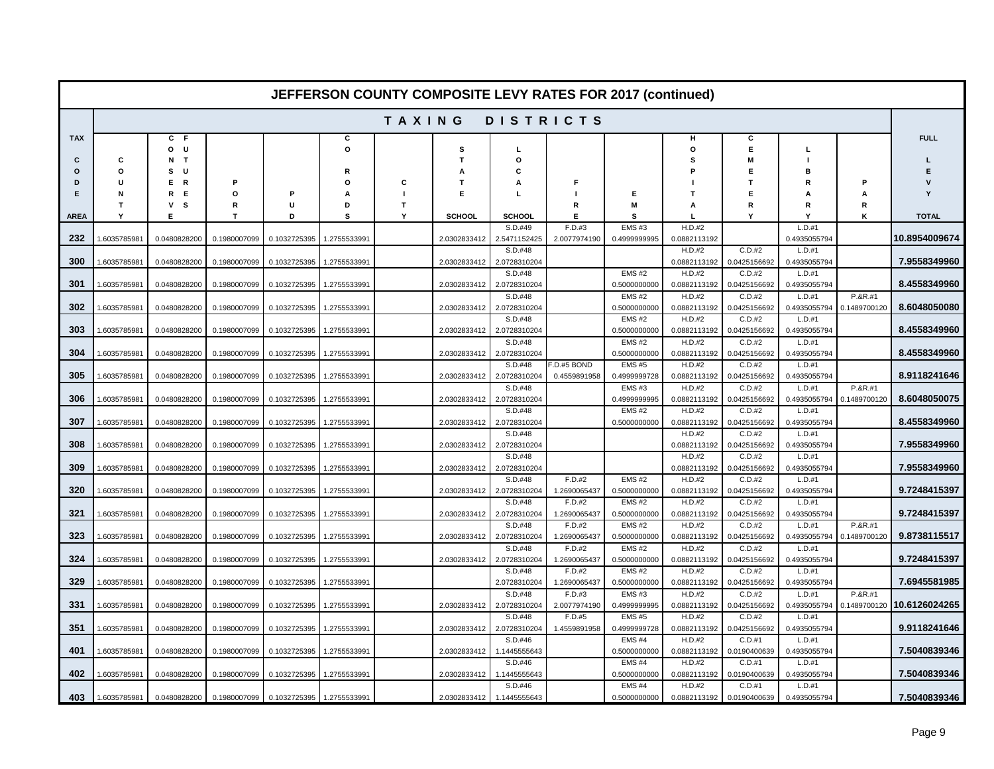|             |              |                   |              |                           |               |        |                  |                         | JEFFERSON COUNTY COMPOSITE LEVY RATES FOR 2017 (continued) |                              |                        |                        |                          |                         |               |
|-------------|--------------|-------------------|--------------|---------------------------|---------------|--------|------------------|-------------------------|------------------------------------------------------------|------------------------------|------------------------|------------------------|--------------------------|-------------------------|---------------|
|             |              |                   |              |                           |               | TAXING |                  |                         | <b>DISTRICTS</b>                                           |                              |                        |                        |                          |                         |               |
| <b>TAX</b>  |              | C<br>-F<br>o<br>U |              |                           | С<br>$\Omega$ |        | s                | г                       |                                                            |                              | н<br>$\mathbf{o}$      | C<br>E                 |                          |                         | <b>FULL</b>   |
| C           | c            | $N$ T             |              |                           |               |        | Т                | o                       |                                                            |                              | s                      | M                      |                          |                         |               |
| O<br>D      | $\circ$<br>u | U<br>s<br>Е.      | P            |                           | R<br>$\Omega$ | С      | Α<br>$\mathbf T$ | C<br>А                  | F                                                          |                              |                        | E<br>$\mathbf{T}$      | в<br>R                   | P                       |               |
| E           | N            | R<br>E<br>R       | $\circ$      | Р                         | A             | п      | F                | L                       | п                                                          | Е                            |                        | E                      | Α                        | A                       |               |
|             | T            | s<br>v            | R            | $\mathbf{U}$              | D             | T.     |                  |                         | R                                                          | M                            | A                      | R                      | R                        | R                       |               |
| <b>AREA</b> | Y            | Е                 | $\mathbf{T}$ | D                         | S             | Y      | SCHOOL           | SCHOOL                  | Е                                                          | s                            |                        | Y                      | ٧                        | ĸ                       | <b>TOTAL</b>  |
| 232         | 1.6035785981 | 0.0480828200      | 0.1980007099 | 0.1032725395              | 1.2755533991  |        | 2.0302833412     | S.D.#49<br>2.5471152425 | F.D.#3<br>2.0077974190                                     | EMS#3<br>0.4999999995        | H.D.#2<br>0.0882113192 |                        | L.D.#1<br>0.4935055794   |                         | 10.8954009674 |
| 300         | 1.6035785981 | 0.0480828200      | 0.1980007099 | 0.1032725395              | 1.2755533991  |        | 2.0302833412     | S.D.#48<br>2.0728310204 |                                                            |                              | H.D.#2<br>0.0882113192 | C.D.#2<br>0.0425156692 | $L.D.+1$<br>0.4935055794 |                         | 7.9558349960  |
|             |              |                   |              |                           |               |        |                  | S.D.#48                 |                                                            | <b>EMS#2</b>                 | H.D.#2                 | C.D.#2                 | L.D.#1                   |                         |               |
| 301         | 1.6035785981 | 0.0480828200      | 0.1980007099 | 0.1032725395              | 1.2755533991  |        | 2.0302833412     | 2.0728310204            |                                                            | 0.5000000000                 | 0.0882113192           | 0.0425156692           | 0.4935055794             |                         | 8.4558349960  |
|             |              |                   |              |                           |               |        |                  | S.D.#48                 |                                                            | <b>EMS#2</b>                 | H.D.#2                 | C.D.#2                 | L.D.#1                   | P.&R.#1                 |               |
| 302         | 1.6035785981 | 0.0480828200      | 0.1980007099 | 0.1032725395              | 1.2755533991  |        | 2.0302833412     | 2.0728310204            |                                                            | 0.5000000000                 | 0.0882113192           | 0.0425156692           | 0.4935055794             | 0.1489700120            | 8.6048050080  |
|             |              |                   |              |                           |               |        |                  | S.D.#48                 |                                                            | <b>EMS#2</b>                 | H.D.#2                 | C.D.#2                 | L.D.#1                   |                         |               |
| 303         | 1.6035785981 | 0.0480828200      | 0.1980007099 | 0.1032725395              | 1.2755533991  |        | 2.0302833412     | 2.0728310204            |                                                            | 0.5000000000                 | 0.0882113192           | 0.0425156692           | 0.4935055794             |                         | 8.4558349960  |
| 304         | 1.6035785981 | 0.0480828200      | 0.1980007099 | 0.1032725395              | 1.2755533991  |        | 2.0302833412     | S.D.#48<br>2.0728310204 |                                                            | <b>EMS#2</b><br>0.5000000000 | H.D.#2<br>0.0882113192 | C.D.#2<br>0.0425156692 | L.D.#1<br>0.4935055794   |                         | 8.4558349960  |
|             |              |                   |              |                           |               |        |                  | S.D.#48                 | $-D.$ #5 BOND                                              | <b>EMS#5</b>                 | H.D.#2                 | C.D.#2                 | L.D.#1                   |                         |               |
| 305         | 1.6035785981 | 0.0480828200      | 0.1980007099 | 0.1032725395              | 1.2755533991  |        | 2.0302833412     | 2.0728310204            | 0.4559891958                                               | 0.4999999728                 | 0.0882113192           | 0.0425156692           | 0.4935055794             |                         | 8.9118241646  |
|             |              |                   |              |                           |               |        |                  | S.D.#48                 |                                                            | <b>EMS#3</b>                 | H.D.#2                 | C.D.#2                 | L.D.#1                   | P.&R.#1                 |               |
| 306         | 1.6035785981 | 0.0480828200      | 0.1980007099 | 0.1032725395              | 1.2755533991  |        | 2.0302833412     | 2.0728310204            |                                                            | 0.4999999995                 | 0.0882113192           | 0.0425156692           | 0.4935055794             | 0.1489700120            | 8.6048050075  |
|             |              |                   |              |                           |               |        |                  | S.D.#48                 |                                                            | <b>EMS#2</b>                 | H.D.#2                 | C.D.#2                 | L.D.#1                   |                         |               |
| 307         | 1.6035785981 | 0.0480828200      | 0.1980007099 | 0.1032725395              | 1.2755533991  |        | 2.0302833412     | 2.0728310204<br>S.D.#48 |                                                            | 0.5000000000                 | 0.0882113192<br>H.D.#2 | 0.0425156692<br>C.D.#2 | 0.4935055794<br>L.D.#1   |                         | 8.4558349960  |
| 308         | 1.6035785981 | 0.0480828200      | 0.1980007099 | 0.1032725395              | 1.2755533991  |        | 2.0302833412     | 2.0728310204            |                                                            |                              | 0.0882113192           | 0.0425156692           | 0.4935055794             |                         | 7.9558349960  |
| 309         | 1.6035785981 | 0.0480828200      | 0.1980007099 | 0.1032725395              | 1.2755533991  |        | 2.0302833412     | S.D.#48<br>2.0728310204 |                                                            |                              | H.D.#2<br>0.0882113192 | C.D.#2<br>0.0425156692 | L.D.#1<br>0.4935055794   |                         | 7.9558349960  |
|             |              |                   |              |                           |               |        |                  | S.D.#48                 | F.D.#2                                                     | EMS#2                        | H.D.#2                 | C.D.#2                 | L.D.#1                   |                         |               |
| 320         | 1.6035785981 | 0.0480828200      | 0.1980007099 | 0.1032725395              | 1.2755533991  |        | 2.0302833412     | 2.0728310204            | 1.2690065437                                               | 0.5000000000                 | 0.0882113192           | 0.0425156692           | 0.4935055794             |                         | 9.7248415397  |
|             |              |                   |              |                           |               |        |                  | S.D.#48                 | F.D.#2                                                     | <b>EMS#2</b>                 | H.D.#2                 | C.D.#2                 | L.D.#1                   |                         |               |
| 321         | 1.6035785981 | 0.0480828200      | 0.1980007099 | 0.1032725395              | 1.2755533991  |        | 2.0302833412     | 2.0728310204            | 1.2690065437                                               | 0.5000000000                 | 0.0882113192           | 0.0425156692           | 0.4935055794             |                         | 9.7248415397  |
| 323         | 1.6035785981 | 0.0480828200      | 0.1980007099 | 0.1032725395              | 1.2755533991  |        | 2.0302833412     | S.D.#48<br>2.0728310204 | F.D.#2<br>1.2690065437                                     | <b>EMS#2</b><br>0.5000000000 | H.D.#2<br>0.0882113192 | C.D.#2<br>0.0425156692 | L.D.#1<br>0.4935055794   | P.&R.#1<br>0.1489700120 | 9.8738115517  |
|             |              |                   |              |                           |               |        |                  | S.D.#48                 | F.D.#2                                                     | <b>EMS#2</b>                 | H.D.#2                 | C.D.#2                 | L.D.#1                   |                         |               |
| 324         | .6035785981  | 0.0480828200      | 0.1980007099 | 0.1032725395              | 1.2755533991  |        | 2.0302833412     | 2.0728310204            | 1.2690065437                                               | 0.5000000000                 | 0.0882113192           | 0.0425156692           | 0.4935055794             |                         | 9.7248415397  |
|             |              |                   |              |                           |               |        |                  | S.D.#48                 | F.D.#2                                                     | <b>EMS#2</b>                 | H.D.#2                 | C.D.#2                 | L.D.#1                   |                         |               |
| 329         | 1.6035785981 | 0.0480828200      | 0.1980007099 | 0.1032725395              | 1.2755533991  |        |                  | 2.0728310204            | 1.2690065437                                               | 0.5000000000                 | 0.0882113192           | 0.0425156692           | 0.4935055794             |                         | 7.6945581985  |
|             |              |                   |              |                           |               |        |                  | S.D.#48                 | F.D.#3                                                     | <b>EMS#3</b>                 | H.D.#2                 | C.D.#2                 | $L.D.+1$                 | P.&R.#1                 |               |
| 331         | 1.6035785981 | 0.0480828200      | 0.1980007099 | 0.1032725395              | 1.2755533991  |        | 2.0302833412     | 2.0728310204<br>S.D.#48 | 2.0077974190<br>F.D.#5                                     | 0.4999999995<br><b>EMS#5</b> | 0.0882113192<br>H.D.#2 | 0.0425156692<br>C.D.#2 | 0.4935055794<br>L.D.#1   | 0.1489700120            | 10.6126024265 |
| 351         | 1.6035785981 | 0.0480828200      | 0.1980007099 | 0.1032725395              | 1.2755533991  |        | 2.0302833412     | 2.0728310204            | 1.4559891958                                               | 0.4999999728                 | 0.0882113192           | 0.0425156692           | 0.4935055794             |                         | 9.9118241646  |
| 401         | 1.6035785981 | 0.0480828200      | 0.1980007099 | 0.1032725395              | 1.2755533991  |        | 2.0302833412     | S.D.#46<br>1.1445555643 |                                                            | EMS#4<br>0.5000000000        | H.D.#2<br>0.0882113192 | C.D.#1<br>0.0190400639 | L.D.#1<br>0.4935055794   |                         | 7.5040839346  |
|             |              |                   |              |                           |               |        |                  | S.D.#46                 |                                                            | EMS#4                        | H.D.#2                 | C.D.#1                 | L.D.#1                   |                         |               |
| 402         | 1.6035785981 | 0.0480828200      | 0.1980007099 | 0.1032725395              | 1.2755533991  |        | 2.0302833412     | 1.1445555643            |                                                            | 0.5000000000                 | 0.0882113192           | 0.0190400639           | 0.4935055794             |                         | 7.5040839346  |
|             |              |                   |              |                           |               |        |                  | S.D.#46                 |                                                            | <b>EMS#4</b>                 | H.D.#2                 | C.D.#1                 | L.D.#1                   |                         |               |
| 403         | 1.6035785981 | 0.0480828200      | 0.1980007099 | 0.1032725395 1.2755533991 |               |        | 2.0302833412     | 1.1445555643            |                                                            | 0.5000000000                 | 0.0882113192           | 0.0190400639           | 0.4935055794             |                         | 7.5040839346  |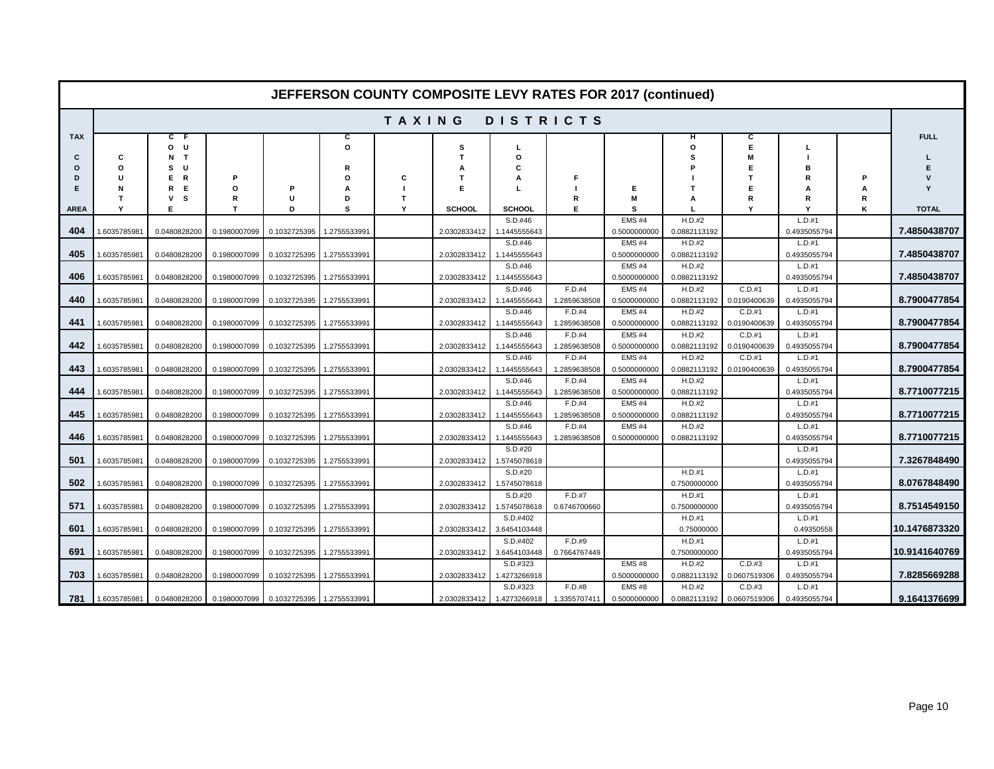|                    |                          |                                       |                   |                           |                   |        |                               |                                          |                        | <b>JEFFERSON COUNTY COMPOSITE LEVY RATES FOR 2017 (continued)</b> |                        |                          |                          |        |                              |
|--------------------|--------------------------|---------------------------------------|-------------------|---------------------------|-------------------|--------|-------------------------------|------------------------------------------|------------------------|-------------------------------------------------------------------|------------------------|--------------------------|--------------------------|--------|------------------------------|
|                    |                          |                                       |                   |                           |                   | TAXING |                               |                                          | <b>DISTRICTS</b>       |                                                                   |                        |                          |                          |        |                              |
| <b>TAX</b>         |                          | C<br>- F<br>U<br>o                    |                   |                           | c<br>O            |        | s                             | L                                        |                        |                                                                   | н<br>O                 | С<br>E                   |                          |        | <b>FULL</b>                  |
| С<br>ი<br>D<br>Е   | c<br>O<br>u<br>N         | $\mathbf{T}$<br>N<br>U<br>s<br>R<br>Е | P<br>$\Omega$     | Р                         | R<br>O            | c      | т<br>Е                        | o<br>C<br>А                              | F                      | E                                                                 | s                      | M<br>Е<br>т<br>E         | в<br>R                   | P<br>A | Y                            |
|                    |                          | E<br>R<br>s<br>v                      | R                 |                           | D                 | T.     |                               |                                          | R                      | М                                                                 |                        | R                        | R                        | R      |                              |
| <b>AREA</b><br>404 | <b>v</b><br>1.6035785981 | E.<br>0.0480828200                    | т<br>0.1980007099 | D<br>0.1032725395         | s<br>1.2755533991 | Υ      | <b>SCHOOL</b><br>2.0302833412 | <b>SCHOOL</b><br>S.D.#46<br>1.1445555643 | Е                      | s<br>EMS <sub>#4</sub><br>0.5000000000                            | H.D.#2<br>0.0882113192 | Y                        | L.D.#1<br>0.4935055794   | κ      | <b>TOTAL</b><br>7.4850438707 |
| 405                | 1.6035785981             | 0.0480828200                          | 0.1980007099      | 0.1032725395              | 1.2755533991      |        | 2.0302833412                  | S.D.#46<br>1.1445555643                  |                        | EMS#4<br>0.5000000000                                             | H.D.#2<br>0.0882113192 |                          | L.D.#1<br>0.4935055794   |        | 7.4850438707                 |
| 406                | 1.6035785981             | 0.0480828200                          | 0.1980007099      | 0.1032725395              | 1.2755533991      |        | 2.0302833412                  | S.D.#46<br>1.1445555643                  |                        | EMS#4<br>0.5000000000                                             | H.D.#2<br>0.0882113192 |                          | L.D.#1<br>0.4935055794   |        | 7.4850438707                 |
| 440                | 1.6035785981             | 0.0480828200                          | 0.1980007099      | 0.1032725395              | 1.2755533991      |        | 2.0302833412                  | $S.D.$ #46<br>1.1445555643               | F.D.#4<br>1.2859638508 | <b>EMS #4</b><br>0.5000000000                                     | H.D.#2<br>0.0882113192 | $C.D.+1$<br>0.0190400639 | L.D.#1<br>0.4935055794   |        | 8.7900477854                 |
| 441                | 1.6035785981             | 0.0480828200                          | 0.1980007099      | 0.1032725395              | 1.2755533991      |        | 2.0302833412                  | S.D.#46<br>1.1445555643                  | F.D.#4<br>1.2859638508 | <b>EMS#4</b><br>0.5000000000                                      | H.D.#2<br>0.0882113192 | $C.D.+1$<br>0.0190400639 | L.D.#1<br>0.4935055794   |        | 8.7900477854                 |
| 442                | 1.6035785981             | 0.0480828200                          | 0.1980007099      | 0.1032725395              | 1.2755533991      |        | 2.0302833412                  | S.D.#46<br>1.1445555643                  | F.D.#4<br>1.2859638508 | <b>EMS#4</b><br>0.5000000000                                      | H.D.#2<br>0.0882113192 | C.D.#1<br>0.0190400639   | L.D.#1<br>0.4935055794   |        | 8.7900477854                 |
| 443                | 1.6035785981             | 0.0480828200                          | 0.1980007099      | 0.1032725395              | 1.2755533991      |        | 2.0302833412                  | S.D.#46<br>1.1445555643                  | F.D.#4<br>1.2859638508 | EMS#4<br>0.5000000000                                             | H.D.#2<br>0.0882113192 | C.D.#1<br>0.0190400639   | L.D.#1<br>0.4935055794   |        | 8.7900477854                 |
| 444                | 1.603578598              | 0.0480828200                          | 0.1980007099      | 0.1032725395              | 1.2755533991      |        | 2.0302833412                  | S.D.#46<br>1.1445555643                  | F.D.#4<br>1.2859638508 | <b>EMS#4</b><br>0.5000000000                                      | H.D.#2<br>0.0882113192 |                          | L.D.#1<br>0.4935055794   |        | 8.7710077215                 |
| 445                | 1.6035785981             | 0.0480828200                          | 0.1980007099      | 0.1032725395              | 1.2755533991      |        | 2.0302833412                  | S.D.#46<br>1.1445555643                  | F.D.#4<br>1.2859638508 | EMS#4<br>0.5000000000                                             | H.D.#2<br>0.0882113192 |                          | L.D.#1<br>0.4935055794   |        | 8.7710077215                 |
| 446                | 1.6035785981             | 0.0480828200                          | 0.1980007099      | 0.1032725395              | 1.2755533991      |        | 2.0302833412                  | S.D.#46<br>1.1445555643                  | F.D.#4<br>1.2859638508 | <b>EMS#4</b><br>0.5000000000                                      | H.D.#2<br>0.0882113192 |                          | $L.D.+1$<br>0.4935055794 |        | 8.7710077215                 |
| 501                | 1.6035785981             | 0.0480828200                          | 0.1980007099      | 0.1032725395              | 1.2755533991      |        | 2.0302833412                  | S.D.#20<br>1.5745078618                  |                        |                                                                   |                        |                          | L.D.#1<br>0.4935055794   |        | 7.3267848490                 |
| 502                | 1.603578598              | 0.0480828200                          | 0.1980007099      | 0.1032725395              | 1.2755533991      |        | 2.0302833412                  | S.D.#20<br>1.5745078618                  |                        |                                                                   | H.D.#1<br>0.7500000000 |                          | L.D.#1<br>0.4935055794   |        | 8.0767848490                 |
| 571                | 1.603578598              | 0.0480828200                          | 0.1980007099      | 0.1032725395              | 1.2755533991      |        | 2.0302833412                  | S.D.#20<br>1.5745078618                  | F.D.#7<br>0.6746700660 |                                                                   | H.D.#1<br>0.7500000000 |                          | L.D.#1<br>0.4935055794   |        | 8.7514549150                 |
| 601                | 1.6035785981             | 0.0480828200                          | 0.1980007099      | 0.1032725395              | 1.2755533991      |        | 2.0302833412                  | S.D.#402<br>3.6454103448                 |                        |                                                                   | H.D.#1<br>0.75000000   |                          | L.D.#1<br>0.49350558     |        | 10.1476873320                |
| 691                | 1.6035785981             | 0.0480828200                          | 0.1980007099      | 0.1032725395              | 1.2755533991      |        | 2.0302833412                  | S.D.#402<br>3.6454103448                 | F.D.#9<br>0.7664767449 |                                                                   | H.D.#1<br>0.7500000000 |                          | L.D.#1<br>0.4935055794   |        | 10.9141640769                |
| 703                | 1.603578598              | 0.0480828200                          | 0.1980007099      | 0.1032725395              | 1.2755533991      |        | 2.0302833412                  | S.D.#323<br>1.4273266918                 |                        | <b>EMS#8</b><br>0.5000000000                                      | H.D.#2<br>0.0882113192 | C.D.#3<br>0.0607519306   | L.D.#1<br>0.4935055794   |        | 7.8285669288                 |
| 781                | 1.6035785981             | 0.0480828200                          | 0.1980007099      | 0.1032725395 1.2755533991 |                   |        | 2.0302833412                  | S.D.#323<br>1.4273266918                 | F.D.#8<br>1.3355707411 | <b>EMS#8</b><br>0.5000000000                                      | H.D.#2<br>0.0882113192 | C.D.#3<br>0.0607519306   | L.D.#1<br>0.4935055794   |        | 9.1641376699                 |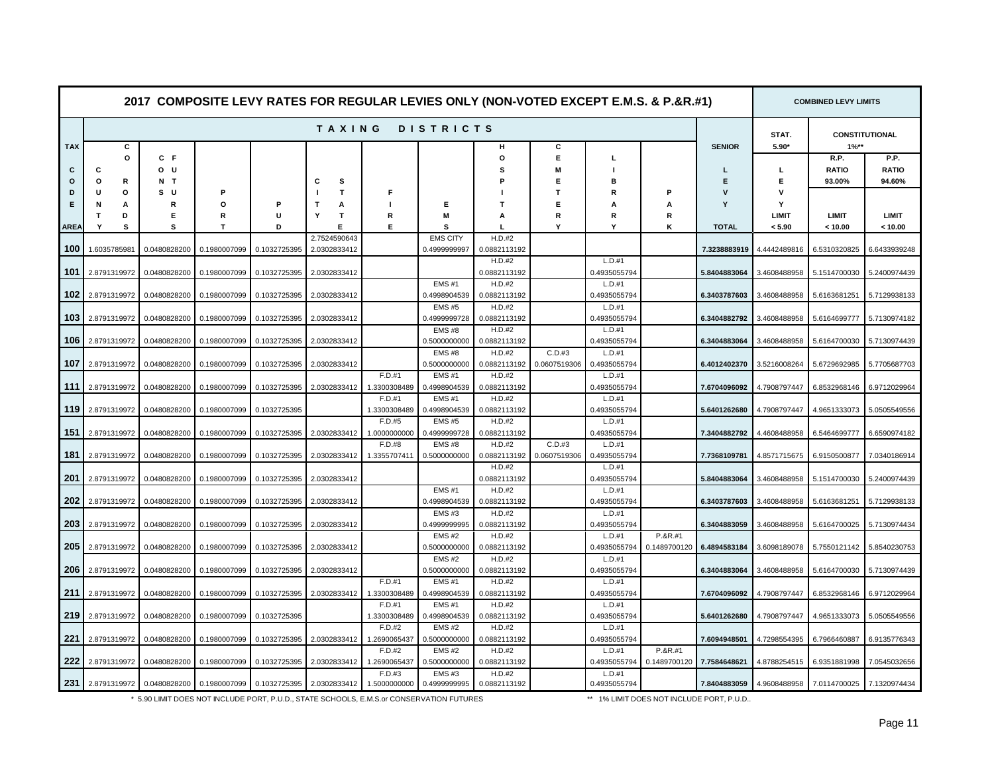|                 |                  |                |              |              |                        |                          |                              |                        | 2017 COMPOSITE LEVY RATES FOR REGULAR LEVIES ONLY (NON-VOTED EXCEPT E.M.S. & P.&R.#1) |                          |                           |                  |                        | <b>COMBINED LEVY LIMITS</b>     |                         |
|-----------------|------------------|----------------|--------------|--------------|------------------------|--------------------------|------------------------------|------------------------|---------------------------------------------------------------------------------------|--------------------------|---------------------------|------------------|------------------------|---------------------------------|-------------------------|
|                 |                  |                |              |              | <b>TAXING</b>          |                          | <b>DISTRICTS</b>             |                        |                                                                                       |                          |                           |                  | STAT.                  |                                 | <b>CONSTITUTIONAL</b>   |
| <b>TAX</b><br>C | c<br>o<br>C      | $C$ $F$<br>o u |              |              |                        |                          |                              | н<br>$\circ$<br>s      | С<br>E.<br>M                                                                          | L                        |                           | <b>SENIOR</b>    | $5.90*$<br>L           | $1\%**$<br>R.P.<br><b>RATIO</b> | P.P.<br><b>RATIO</b>    |
| $\circ$<br>D    | o<br>R<br>O<br>U | N T<br>s u     | P            |              | s<br>С<br>T            | Е                        |                              |                        | Е<br>$\mathbf T$                                                                      | в<br>R                   | P                         | E<br>$\mathbf v$ | Е<br>$\mathbf v$       | 93.00%                          | 94.60%                  |
| Е               | N<br>А           | R              | O            | P            | $\mathbf{T}$<br>А      |                          | Е                            | т                      | Е                                                                                     | А                        | A                         | Y                | Y                      |                                 |                         |
| AREA            | T<br>D<br>Y<br>s | Е<br>s         | R<br>т       | U<br>D       | $\mathsf{T}$<br>Y<br>Е | R<br>Е                   | M<br>s                       | A<br>Т.                | R<br>Υ                                                                                | R<br>Υ                   | R<br>Κ                    | <b>TOTAL</b>     | <b>LIMIT</b><br>< 5.90 | <b>LIMIT</b><br>< 10.00         | <b>LIMIT</b><br>< 10.00 |
|                 |                  |                |              |              | 2.7524590643           |                          | <b>EMS CITY</b>              | H.D.#2                 |                                                                                       |                          |                           |                  |                        |                                 |                         |
| 100             | 1.6035785981     | 0.0480828200   | 0.1980007099 | 0.1032725395 | 2.0302833412           |                          | 0.4999999997                 | 0.0882113192<br>H.D.#2 |                                                                                       | L.D.#1                   |                           | 7.3238883919     | 4.4442489816           | 6.5310320825                    | 6.6433939248            |
| 101             | 2.8791319972     | 0.0480828200   | 0.1980007099 | 0.1032725395 | 2.0302833412           |                          |                              | 0.0882113192           |                                                                                       | 0.4935055794             |                           | 5.8404883064     | 3.4608488958           | 5.1514700030                    | 5.2400974439            |
| 102             | 2.8791319972     | 0.0480828200   | 0.1980007099 | 0.1032725395 | 2.0302833412           |                          | <b>EMS#1</b><br>0.4998904539 | H.D.#2<br>0.0882113192 |                                                                                       | L.D.#1<br>0.4935055794   |                           | 6.3403787603     | 3.4608488958           | 5.6163681251                    | 5.7129938133            |
|                 |                  |                |              |              |                        |                          | <b>EMS#5</b>                 | H.D.#2                 |                                                                                       | L.D.#1                   |                           |                  |                        |                                 |                         |
| 103             | 2.8791319972     | 0.0480828200   | 0.1980007099 | 0.1032725395 | 2.0302833412           |                          | 0.4999999728<br><b>EMS#8</b> | 0.0882113192<br>H.D.#2 |                                                                                       | 0.4935055794<br>L.D.#1   |                           | 6.3404882792     | 3.4608488958           | 5.6164699777                    | 5.7130974182            |
| 106             | 2.8791319972     | 0.0480828200   | 0.1980007099 | 0.1032725395 | 2.0302833412           |                          | 0.5000000000                 | 0.0882113192           |                                                                                       | 0.4935055794             |                           | 6.3404883064     | 3.4608488958           | 5.6164700030                    | 5.7130974439            |
| 107             | 2.8791319972     | 0.0480828200   | 0.1980007099 | 0.1032725395 | 2.0302833412           |                          | <b>EMS#8</b><br>0.5000000000 | H.D.#2<br>0.0882113192 | C.D.#3<br>0.0607519306                                                                | $L.D.+1$<br>0.4935055794 |                           | 6.4012402370     | 3.5216008264           | 5.6729692985                    | 5.7705687703            |
|                 |                  |                |              |              |                        | F.D.#1                   | <b>EMS#1</b>                 | H.D.#2                 |                                                                                       | L.D.#1                   |                           |                  |                        |                                 |                         |
| 111             | 2.8791319972     | 0.0480828200   | 0.1980007099 | 0.1032725395 | 2.0302833412           | 1.3300308489<br>F.D.#1   | 0.4998904539<br>EMS#1        | 0.0882113192<br>H.D.#2 |                                                                                       | 0.4935055794<br>L.D.#1   |                           | 7.6704096092     | 4.7908797447           | 6.8532968146                    | 6.9712029964            |
| 119             | 2.8791319972     | 0.0480828200   | 0.1980007099 | 0.1032725395 |                        | 1.3300308489             | 0.4998904539                 | 0.0882113192           |                                                                                       | 0.4935055794             |                           | 5.6401262680     | 4.7908797447           | 4.9651333073                    | 5.0505549556            |
| 151             |                  |                |              |              | 2.0302833412           | F.D.#5                   | <b>EMS#5</b>                 | H.D.#2                 |                                                                                       | L.D.#1                   |                           | 7.3404882792     |                        |                                 |                         |
|                 | 2.8791319972     | 0.0480828200   | 0.1980007099 | 0.1032725395 |                        | 1.0000000000<br>F.D.#8   | 0.4999999728<br><b>EMS#8</b> | 0.0882113192<br>H.D.#2 | C.D.#3                                                                                | 0.4935055794<br>L.D.#1   |                           |                  | 4.4608488958           | 6.5464699777                    | 6.6590974182            |
| 181             | 2.8791319972     | 0.0480828200   | 0.1980007099 | 0.1032725395 | 2.0302833412           | 1.3355707411             | 0.5000000000                 | 0.0882113192           | 0.0607519306                                                                          | 0.4935055794             |                           | 7.7368109781     | 4.8571715675           | 6.9150500877                    | 7.0340186914            |
| 201             | 2.8791319972     | 0.0480828200   | 0.1980007099 | 0.1032725395 | 2.0302833412           |                          |                              | H.D.#2<br>0.0882113192 |                                                                                       | L.D.#1<br>0.4935055794   |                           | 5.8404883064     | 3.4608488958           | 5.1514700030                    | 5.2400974439            |
|                 |                  |                |              |              |                        |                          | <b>EMS#1</b>                 | H.D.#2                 |                                                                                       | L.D.#1                   |                           |                  |                        |                                 |                         |
| 202             | 2.8791319972     | 0.0480828200   | 0.1980007099 | 0.1032725395 | 2.0302833412           |                          | 0.4998904539<br><b>EMS#3</b> | 0.0882113192<br>H.D.#2 |                                                                                       | 0.4935055794<br>L.D.#1   |                           | 6.3403787603     | 3.4608488958           | 5.6163681251                    | 5.7129938133            |
| 203             | 2.8791319972     | 0.0480828200   | 0.1980007099 | 0.1032725395 | 2.0302833412           |                          | 0.4999999995                 | 0.0882113192           |                                                                                       | 0.4935055794             |                           | 6.3404883059     | 3.4608488958           | 5.6164700025                    | 5.7130974434            |
| 205             |                  |                |              |              |                        |                          | <b>EMS#2</b>                 | H.D.#2                 |                                                                                       | $L.D.+1$                 | P.&R.#1                   |                  |                        |                                 |                         |
|                 | 2.8791319972     | 0.0480828200   | 0.1980007099 | 0.1032725395 | 2.0302833412           |                          | 0.5000000000<br><b>EMS#2</b> | 0.0882113192<br>H.D.#2 |                                                                                       | 0.4935055794<br>L.D.#1   | 0.1489700120              | 6.4894583184     | 3.6098189078           | 5.7550121142                    | 5.8540230753            |
| 206             | 2.8791319972     | 0.0480828200   | 0.1980007099 | 0.1032725395 | 2.0302833412           |                          | 0.5000000000                 | 0.0882113192           |                                                                                       | 0.4935055794             |                           | 6.3404883064     | 3.4608488958           | 5.6164700030                    | 5.7130974439            |
| 211             | 2.8791319972     | 0.0480828200   | 0.1980007099 | 0.1032725395 | 2.0302833412           | $F.D.+1$<br>1.3300308489 | <b>EMS#1</b><br>0.4998904539 | H.D.#2<br>0.0882113192 |                                                                                       | L.D.#1<br>0.4935055794   |                           | 7.6704096092     | 4.7908797447           | 6.8532968146                    | 6.9712029964            |
|                 |                  |                |              |              |                        | F.D.#1                   | <b>EMS#1</b>                 | H.D.#2                 |                                                                                       | L.D.#1                   |                           |                  |                        |                                 |                         |
| 219             | 2.8791319972     | 0.0480828200   | 0.1980007099 | 0.1032725395 |                        | 1.3300308489<br>F.D.#2   | 0.4998904539<br><b>EMS#2</b> | 0.0882113192<br>H.D.#2 |                                                                                       | 0.4935055794<br>L.D.#1   |                           | 5.6401262680     | 4.7908797447           | 4.9651333073                    | 5.0505549556            |
| 221             | 2.8791319972     | 0.0480828200   | 0.1980007099 | 0.1032725395 | 2.0302833412           | 1.2690065437             | 0.5000000000                 | 0.0882113192           |                                                                                       | 0.4935055794             |                           | 7.6094948501     | 4.7298554395           | 6.7966460887                    | 6.9135776343            |
|                 |                  |                |              |              |                        | F.D.#2                   | <b>EMS#2</b>                 | H.D.#2                 |                                                                                       | L.D.#1                   | P.&R.#1                   |                  |                        |                                 |                         |
| 222             | 2.8791319972     | 0.0480828200   | 0.1980007099 | 0.1032725395 | 2.0302833412           | 1.2690065437<br>F.D.#3   | 0.5000000000<br>EMS#3        | 0.0882113192<br>H.D.#2 |                                                                                       | 0.4935055794<br>L.D.#1   | 0.1489700120 7.7584648621 |                  | 4.8788254515           | 6.9351881998                    | 7.0545032656            |
| 231             | 2.8791319972     | 0.0480828200   | 0.1980007099 | 0.1032725395 | 2.0302833412           | 1.5000000000             | 0.4999999995                 | 0.0882113192           |                                                                                       | 0.4935055794             |                           | 7.8404883059     | 4.9608488958           | 7.0114700025                    | 7.1320974434            |

\* 5.90 LIMIT DOES NOT INCLUDE PORT, P.U.D., STATE SCHOOLS, E.M.S.or CONSERVATION FUTURES

\*\* 1% LIMIT DOES NOT INCLUDE PORT, P.U.D..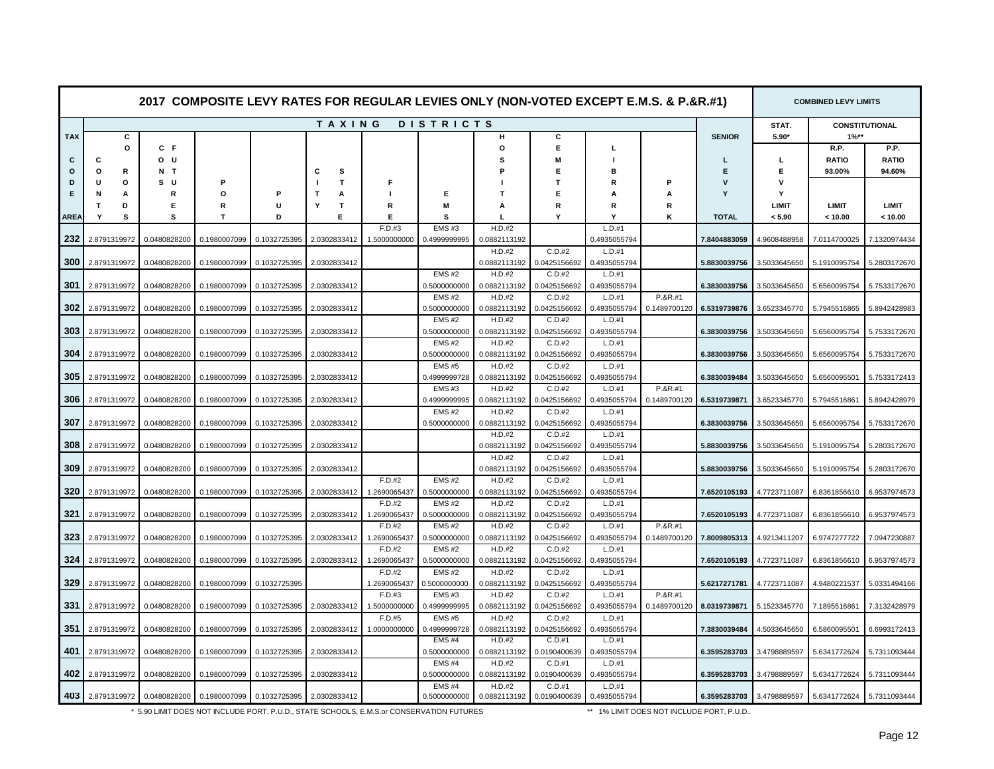|            |                  |              |              |              |              |                        |                              |                        | 2017 COMPOSITE LEVY RATES FOR REGULAR LEVIES ONLY (NON-VOTED EXCEPT E.M.S. & P.&R.#1) |                        |              |               |              | <b>COMBINED LEVY LIMITS</b> |                       |
|------------|------------------|--------------|--------------|--------------|--------------|------------------------|------------------------------|------------------------|---------------------------------------------------------------------------------------|------------------------|--------------|---------------|--------------|-----------------------------|-----------------------|
|            |                  |              |              |              | TAXING       |                        | <b>DISTRICTS</b>             |                        |                                                                                       |                        |              |               | STAT.        |                             | <b>CONSTITUTIONAL</b> |
| <b>TAX</b> | С                |              |              |              |              |                        |                              | н                      | c                                                                                     |                        |              | <b>SENIOR</b> | $5.90*$      | $1%**$                      |                       |
|            | $\circ$          | C F          |              |              |              |                        |                              | $\circ$                | E                                                                                     | т.                     |              |               |              | R.P.                        | P.P.                  |
| С          | С                | o u          |              |              |              |                        |                              | s                      | M                                                                                     |                        |              |               | L            | <b>RATIO</b>                | <b>RATIO</b>          |
| $\circ$    | $\circ$<br>R     | N T          |              |              | s<br>С       |                        |                              |                        | Е                                                                                     | R                      |              | E             | Е            | 93.00%                      | 94.60%                |
| D          | U<br>$\circ$     | s u          |              |              | $\mathbf{T}$ | Е                      |                              |                        | т                                                                                     |                        | P            | v             | v            |                             |                       |
| Е          | N<br>A           | R            | O            | P            | Т<br>A       |                        | Е                            | т                      | Е                                                                                     | A                      | A            | Y             | Y            |                             |                       |
|            | т<br>D           | Е            | R            | U            | т<br>Υ       | R                      | M                            | A                      | R                                                                                     | R                      | R            |               | LIMIT        | LIMIT                       | <b>LIMIT</b>          |
| ARE/       | s<br>Y           | s            | т            | D            | E            | Е                      | S                            |                        | Υ                                                                                     | Y                      | K            | <b>TOTAL</b>  | < 5.90       | < 10.00                     | < 10.00               |
|            |                  |              |              |              |              | F.D.#3                 | <b>EMS#3</b>                 | H.D.#2                 |                                                                                       | L.D.#1                 |              |               |              |                             |                       |
| 232        | 2.8791319972     | 0.0480828200 | 0.1980007099 | 0.1032725395 | 2.0302833412 | 1.5000000000           | 0.4999999995                 | 0.0882113192           |                                                                                       | 0.4935055794           |              | 7.8404883059  | 4.9608488958 | 7.0114700025                | 7.1320974434          |
|            |                  |              |              |              |              |                        |                              | H.D.#2                 | C.D.#2                                                                                | L.D.#1                 |              |               |              |                             |                       |
| 300        | 2.8791319972     | 0.0480828200 | 0.1980007099 | 0.1032725395 | 2.0302833412 |                        |                              | 0.0882113192           | 0.0425156692                                                                          | 0.4935055794           |              | 5.8830039756  | 3.5033645650 | 5.1910095754                | 5.2803172670          |
|            |                  |              |              |              |              |                        | EMS#2                        | H.D.#2                 | C.D.#2                                                                                | L.D.#1                 |              |               |              |                             |                       |
| 301        | 2.8791319972     | 0.0480828200 | 0.1980007099 | 0.1032725395 | 2.0302833412 |                        | 0.5000000000                 | 0.0882113192           | 0.0425156692                                                                          | 0.4935055794           |              | 6.3830039756  | 3.5033645650 | 5.6560095754                | 5.7533172670          |
| 302        |                  |              |              |              |              |                        | <b>EMS#2</b>                 | H.D.#2                 | C.D.#2                                                                                | $L.D.+1$               | P.&R.#1      |               |              |                             |                       |
|            | 2.8791319972     | 0.0480828200 | 0.1980007099 | 0.1032725395 | 2.0302833412 |                        | 0.5000000000<br><b>EMS#2</b> | 0.0882113192<br>H.D.#2 | 0.0425156692<br>C.D.#2                                                                | 0.4935055794<br>L.D.#1 | 0.1489700120 | 6.5319739876  | 3.6523345770 | 5.7945516865                | 5.8942428983          |
| 303        | 2.8791319972     | 0.0480828200 | 0.1980007099 | 0.1032725395 | 2.0302833412 |                        | 0.5000000000                 | 0.0882113192           | 0.0425156692                                                                          | 0.4935055794           |              | 6.3830039756  | 3.5033645650 | 5.6560095754                | 5.7533172670          |
|            |                  |              |              |              |              |                        | <b>EMS#2</b>                 | H.D.#2                 | C.D.#2                                                                                | L.D.#1                 |              |               |              |                             |                       |
| 304        | 2.8791319972     | 0.0480828200 | 0.1980007099 | 0.1032725395 | 2.0302833412 |                        | 0.5000000000                 | 0.0882113192           | 0.0425156692                                                                          | 0.4935055794           |              | 6.3830039756  | 3.5033645650 | 5.6560095754                | 5.7533172670          |
|            |                  |              |              |              |              |                        | <b>EMS#5</b>                 | H.D.#2                 | C.D.#2                                                                                | L.D.#1                 |              |               |              |                             |                       |
| 305        | 2.8791319972     | 0.0480828200 | 0.1980007099 | 0.1032725395 | 2.0302833412 |                        | 0.4999999728                 | 0.0882113192           | 0.0425156692                                                                          | 0.4935055794           |              | 6.3830039484  | 3.5033645650 | 5.6560095501                | 5.7533172413          |
|            |                  |              |              |              |              |                        | EMS#3                        | H.D.#2                 | C.D.#2                                                                                | L.D.#1                 | P.&R.#1      |               |              |                             |                       |
| 306        | 2.8791319972     | 0.0480828200 | 0.1980007099 | 0.1032725395 | 2.0302833412 |                        | 0.4999999995                 | 0.0882113192           | 0.0425156692                                                                          | 0.4935055794           | 0.1489700120 | 6.5319739871  | 3.6523345770 | 5.7945516861                | 5.8942428979          |
|            |                  |              |              |              |              |                        | <b>EMS#2</b>                 | H.D.#2                 | C.D.#2                                                                                | L.D.#1                 |              |               |              |                             |                       |
| 307        | 2.8791319972     | 0.0480828200 | 0.1980007099 | 0.1032725395 | 2.0302833412 |                        | 0.5000000000                 | 0.0882113192           | 0.0425156692                                                                          | 0.4935055794           |              | 6.3830039756  | 3.5033645650 | 5.6560095754                | 5.7533172670          |
|            |                  |              |              |              |              |                        |                              | H.D.#2                 | C.D.#2                                                                                | L.D.#1                 |              |               |              |                             |                       |
| 308        | 2.8791319972     | 0.0480828200 | 0.1980007099 | 0.1032725395 | 2.0302833412 |                        |                              | 0.0882113192           | 0.0425156692                                                                          | 0.4935055794           |              | 5.8830039756  | 3.5033645650 | 5.1910095754                | 5.2803172670          |
|            |                  |              |              |              |              |                        |                              | H.D.#2                 | C.D.#2                                                                                | $L.D.+1$               |              |               |              |                             |                       |
| 309        | 2.8791319972     | 0.0480828200 | 0.1980007099 | 0.1032725395 | 2.0302833412 |                        |                              | 0.0882113192           | 0.0425156692                                                                          | 0.4935055794           |              | 5.8830039756  | 3.5033645650 | 5.1910095754                | 5.2803172670          |
|            |                  |              |              |              |              | F.D.#2                 | EMS#2                        | H.D.#2                 | C.D.#2                                                                                | L.D.#1                 |              |               |              |                             |                       |
| 320        | 2.8791319972     | 0.0480828200 | 0.1980007099 | 0.1032725395 | 2.0302833412 | 1.2690065437           | 0.5000000000                 | 0.0882113192           | 0.0425156692                                                                          | 0.4935055794           |              | 7.6520105193  | 4.7723711087 | 6.8361856610                | 6.9537974573          |
|            |                  |              |              |              |              | F.D.#2                 | <b>EMS#2</b>                 | H.D.#2                 | C.D.#2                                                                                | $L.D.+1$               |              |               |              |                             |                       |
| 321        | 2.8791319972     | 0.0480828200 | 0.1980007099 | 0.1032725395 | 2.0302833412 | 1.2690065437           | 0.5000000000                 | 0.0882113192           | 0.0425156692                                                                          | 0.4935055794           |              | 7.6520105193  | 4.7723711087 | 6.8361856610                | 6.9537974573          |
|            |                  |              |              |              |              | F.D.#2                 | <b>EMS#2</b>                 | H.D.#2                 | C.D.#2                                                                                | L.D.#1                 | P.&R.#1      |               |              |                             |                       |
| 323        | 2.8791319972     | 0.0480828200 | 0.1980007099 | 0.1032725395 | 2.0302833412 | 1.2690065437           | 0.5000000000                 | 0.0882113192           | 0.0425156692                                                                          | 0.4935055794           | 0.1489700120 | 7.8009805313  | 4.9213411207 | 6.9747277722                | 7.0947230887          |
| 324        | 2.8791319972     | 0.0480828200 | 0.1980007099 | 0.1032725395 | 2.0302833412 | F.D.#2<br>1.2690065437 | <b>EMS#2</b><br>0.5000000000 | H.D.#2<br>0.0882113192 | C.D.#2<br>0.0425156692                                                                | L.D.#1<br>0.4935055794 |              | 7.6520105193  | 4.7723711087 | 6.8361856610                | 6.9537974573          |
|            |                  |              |              |              |              | F.D.#2                 | <b>EMS#2</b>                 | H.D.#2                 | C.D.#2                                                                                | L.D.#1                 |              |               |              |                             |                       |
| 329        | 2.8791319972     | 0.0480828200 | 0.1980007099 | 0.1032725395 |              | 1.2690065437           | 0.5000000000                 | 0.0882113192           | 0.0425156692                                                                          | 0.4935055794           |              | 5.6217271781  | 4.7723711087 | 4.9480221537                | 5.0331494166          |
|            |                  |              |              |              |              | F.D.#3                 | <b>EMS#3</b>                 | H.D.#2                 | C.D.#2                                                                                | L.D.#1                 | P.&R.#1      |               |              |                             |                       |
| 331        | 2.8791319972     | 0.0480828200 | 0.1980007099 | 0.1032725395 | 2.0302833412 | 1.5000000000           | 0.4999999995                 | 0.0882113192           | 0.0425156692                                                                          | 0.4935055794           | 0.1489700120 | 8.0319739871  | 5.1523345770 | 7.1895516861                | 7.3132428979          |
|            |                  |              |              |              |              | F.D.#5                 | <b>EMS#5</b>                 | H.D.#2                 | C.D.#2                                                                                | L.D.#1                 |              |               |              |                             |                       |
| 351        | 2.8791319972     | 0.0480828200 | 0.1980007099 | 0.1032725395 | 2.0302833412 | 1.0000000000           | 0.4999999728                 | 0.0882113192           | 0.0425156692                                                                          | 0.4935055794           |              | 7.3830039484  | 4.5033645650 | 6.5860095501                | 6.6993172413          |
|            |                  |              |              |              |              |                        | <b>EMS#4</b>                 | H.D.#2                 | C.D.#1                                                                                | L.D.#1                 |              |               |              |                             |                       |
| 401        | 2.8791319972     | 0.0480828200 | 0.1980007099 | 0.1032725395 | 2.0302833412 |                        | 0.5000000000                 | 0.0882113192           | 0.0190400639                                                                          | 0.4935055794           |              | 6.3595283703  | 3.4798889597 | 5.6341772624                | 5.7311093444          |
|            |                  |              |              |              |              |                        | <b>EMS#4</b>                 | H.D.#2                 | C.D.#1                                                                                | L.D.#1                 |              |               |              |                             |                       |
| 402        | 2.8791319972     | 0.0480828200 | 0.1980007099 | 0.1032725395 | 2.0302833412 |                        | 0.5000000000                 | 0.0882113192           | 0.0190400639                                                                          | 0.4935055794           |              | 6.3595283703  | 3.4798889597 | 5.6341772624                | 5.7311093444          |
|            |                  |              |              |              |              |                        | <b>EMS#4</b>                 | H.D.#2                 | C.D.#1                                                                                | L.D.#1                 |              |               |              |                             |                       |
|            | 403 2.8791319972 | 0.0480828200 | 0.1980007099 | 0.1032725395 | 2.0302833412 |                        | 0.5000000000                 | 0.0882113192           | 0.0190400639                                                                          | 0.4935055794           |              | 6.3595283703  | 3.4798889597 | 5.6341772624                | 5.7311093444          |

\* 5.90 LIMIT DOES NOT INCLUDE PORT, P.U.D., STATE SCHOOLS, E.M.S.or CONSERVATION FUTURES

\*\* 1% LIMIT DOES NOT INCLUDE PORT, P.U.D..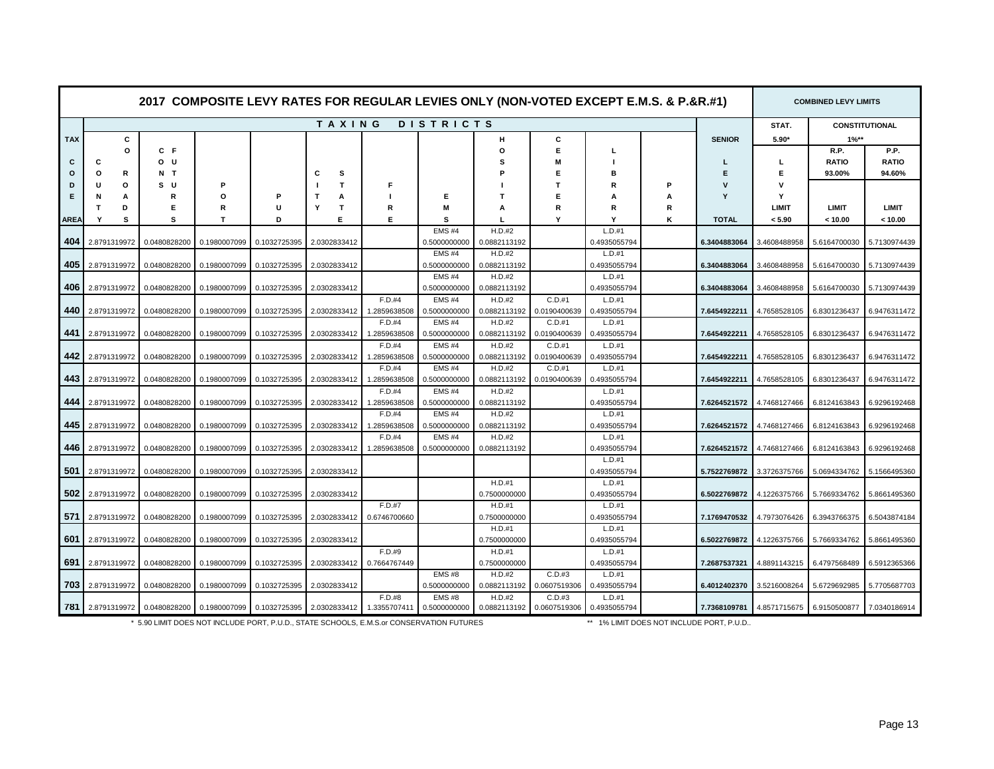|            |                  |              |              |              | 2017 COMPOSITE LEVY RATES FOR REGULAR LEVIES ONLY (NON-VOTED EXCEPT E.M.S. & P.&R.#1) |              |                       |                          |              |                          |   |               |              | <b>COMBINED LEVY LIMITS</b> |                           |
|------------|------------------|--------------|--------------|--------------|---------------------------------------------------------------------------------------|--------------|-----------------------|--------------------------|--------------|--------------------------|---|---------------|--------------|-----------------------------|---------------------------|
|            |                  |              |              |              | TAXING                                                                                |              | <b>DISTRICTS</b>      |                          |              |                          |   |               | STAT.        |                             | <b>CONSTITUTIONAL</b>     |
| <b>TAX</b> | c                |              |              |              |                                                                                       |              |                       | н                        | С            |                          |   | <b>SENIOR</b> | $5.90*$      | $1\%**$                     |                           |
|            | O                | C F          |              |              |                                                                                       |              |                       | O                        | E            |                          |   |               |              | R.P.                        | P.P.                      |
| C          | С                | o u          |              |              |                                                                                       |              |                       | s                        |              |                          |   |               | L            | <b>RATIO</b>                | <b>RATIO</b>              |
| $\circ$    | R<br>o           | N T          |              |              | s<br>C                                                                                |              |                       |                          | Е            |                          |   | E             | Е            | 93.00%                      | 94.60%                    |
| D          | O<br>н           | s u          | Р            |              | T                                                                                     | F            |                       |                          |              |                          | P | v             | v            |                             |                           |
| Е          | N<br>A           | R            | Ω            |              | т<br>A                                                                                |              | Е                     | т                        | Е            |                          | А | Υ             | Y            |                             |                           |
|            | D<br>т           | Е            | R            | U            | $\mathsf{T}$<br>Y                                                                     | R            | M                     | A                        | R            | R                        | R |               | <b>LIMIT</b> | <b>LIMIT</b>                | <b>LIMIT</b>              |
| AREA       | Y<br>s           | s            | T            | D            | Е.                                                                                    | Е            | s                     |                          | Υ            | Y                        | Κ | <b>TOTAL</b>  | < 5.90       | < 10.00                     | < 10.00                   |
|            |                  |              |              |              |                                                                                       |              | EMS#4                 | H.D.#2                   |              | L.D.#1                   |   |               |              |                             |                           |
| 404        | 2.8791319972     | 0.0480828200 | 0.1980007099 | 0.1032725395 | 2.0302833412                                                                          |              | 0.5000000000          | 0.0882113192             |              | 0.4935055794             |   | 6.3404883064  | 3.4608488958 | 5.6164700030                | 5.7130974439              |
|            |                  |              |              |              |                                                                                       |              | EMS#4                 | H.D.#2                   |              | L.D.#1                   |   |               |              |                             |                           |
| 405        | 2.8791319972     | 0.0480828200 | 0.1980007099 | 0.1032725395 | 2.0302833412                                                                          |              | 0.5000000000<br>EMS#4 | 0.0882113192<br>H.D.#2   |              | 0.4935055794<br>L.D.#1   |   | 6.3404883064  | 3.4608488958 |                             | 5.6164700030 5.7130974439 |
| 406        | 2.8791319972     | 0.0480828200 | 0.1980007099 | 0.1032725395 | 2.0302833412                                                                          |              | 0.5000000000          | 0.0882113192             |              | 0.4935055794             |   | 6.3404883064  | 3.4608488958 | 5.6164700030                | 5.7130974439              |
|            |                  |              |              |              |                                                                                       | F.D.#4       | <b>EMS#4</b>          | H.D.#2                   | C.D.#1       | $L.D.+1$                 |   |               |              |                             |                           |
| 440        | 2.8791319972     | 0.0480828200 | 0.1980007099 | 0.1032725395 | 2.0302833412                                                                          | 1.2859638508 | 0.5000000000          | 0.0882113192             | 0.0190400639 | 0.4935055794             |   | 7.6454922211  | 4.7658528105 | 6.8301236437                | 6.9476311472              |
|            |                  |              |              |              |                                                                                       | F.D.#4       | <b>EMS#4</b>          | H.D.#2                   | C.D.#1       | L.D.#1                   |   |               |              |                             |                           |
| 441        | 2.8791319972     | 0.0480828200 | 0.1980007099 | 0.1032725395 | 2.0302833412                                                                          | 1.2859638508 | 0.5000000000          | 0.0882113192             | 0.0190400639 | 0.4935055794             |   | 7.6454922211  | 4.7658528105 | 6.8301236437                | 6.9476311472              |
|            |                  |              |              |              |                                                                                       | F.D.#4       | EMS#4                 | H.D.#2                   | C.D.#1       | L.D.#1                   |   |               |              |                             |                           |
| 442        | 2.8791319972     | 0.0480828200 | 0.1980007099 | 0.1032725395 | 2.0302833412                                                                          | 1.2859638508 | 0.5000000000          | 0.0882113192             | 0.0190400639 | 0.4935055794             |   | 7.6454922211  | 4.7658528105 | 6.8301236437                | 6.9476311472              |
|            |                  |              |              |              |                                                                                       | F.D.#4       | EMS#4                 | H.D.#2                   | C.D.#1       | L.D.#1                   |   |               |              |                             |                           |
| 443        | 2.8791319972     | 0.0480828200 | 0.1980007099 | 0.1032725395 | 2.0302833412                                                                          | 1.2859638508 | 0.5000000000          | 0.0882113192             | 0.0190400639 | 0.4935055794             |   | 7.6454922211  | 4.7658528105 | 6.8301236437                | 6.9476311472              |
|            |                  |              |              |              |                                                                                       | F.D.#4       | <b>EMS#4</b>          | H.D.#2                   |              | L.D.#1                   |   |               |              |                             |                           |
| 444        | 2.8791319972     | 0.0480828200 | 0.1980007099 | 0.1032725395 | 2.0302833412                                                                          | 1.2859638508 | 0.5000000000          | 0.0882113192             |              | 0.4935055794             |   | 7.6264521572  | 4.7468127466 | 6.8124163843                | 6.9296192468              |
|            |                  |              |              |              |                                                                                       | F.D.#4       | <b>EMS#4</b>          | H.D.#2                   |              | $L.D.+1$                 |   |               |              |                             |                           |
| 445        | 2.8791319972     | 0.0480828200 | 0.1980007099 | 0.1032725395 | 2.0302833412                                                                          | 1.2859638508 | 0.5000000000          | 0.0882113192             |              | 0.4935055794             |   | 7.6264521572  | 4.7468127466 | 6.8124163843                | 6.9296192468              |
|            |                  |              |              |              |                                                                                       | F.D.#4       | <b>EMS#4</b>          | H.D.#2                   |              | L.D.#1                   |   |               |              |                             |                           |
| 446        | 2.8791319972     | 0.0480828200 | 0.1980007099 | 0.1032725395 | 2.0302833412                                                                          | 1.2859638508 | 0.5000000000          | 0.0882113192             |              | 0.4935055794             |   | 7.6264521572  | 4.7468127466 | 6.8124163843                | 6.9296192468              |
|            |                  |              |              |              |                                                                                       |              |                       |                          |              | L.D.#1                   |   |               |              |                             |                           |
|            | 501 2.8791319972 | 0.0480828200 | 0.1980007099 | 0.1032725395 | 2.0302833412                                                                          |              |                       |                          |              | 0.4935055794             |   | 5.7522769872  | 3.3726375766 | 5.0694334762                | 5.1566495360              |
|            |                  |              |              |              |                                                                                       |              |                       | H.D.#1                   |              | L.D.#1                   |   |               |              |                             |                           |
|            | 502 2.8791319972 | 0.0480828200 | 0.1980007099 | 0.1032725395 | 2.0302833412                                                                          |              |                       | 0.7500000000             |              | 0.4935055794             |   | 6.5022769872  | 4.1226375766 | 5.7669334762                | 5.8661495360              |
|            |                  |              |              |              |                                                                                       | F.D.#7       |                       | $H.D.+1$                 |              | L.D.#1                   |   |               |              |                             |                           |
| 571        | 2.8791319972     | 0.0480828200 | 0.1980007099 | 0.1032725395 | 2.0302833412                                                                          | 0.6746700660 |                       | 0.7500000000             |              | 0.4935055794             |   | 7.1769470532  | 4.7973076426 | 6.3943766375                | 6.5043874184              |
| 601        | 2.8791319972     | 0.0480828200 | 0.1980007099 | 0.1032725395 | 2.0302833412                                                                          |              |                       | $H.D.+1$<br>0.7500000000 |              | $L.D.+1$<br>0.4935055794 |   | 6.5022769872  | 4.1226375766 | 5.7669334762                | 5.8661495360              |
|            |                  |              |              |              |                                                                                       | F.D.#9       |                       | H.D.#1                   |              | L.D.#1                   |   |               |              |                             |                           |
|            | 691 2.8791319972 | 0.0480828200 | 0.1980007099 | 0.1032725395 | 2.0302833412                                                                          | 0.7664767449 |                       | 0.7500000000             |              | 0.4935055794             |   | 7.2687537321  | 4.8891143215 | 6.4797568489                | 6.5912365366              |
|            |                  |              |              |              |                                                                                       |              | EMS#8                 | H.D.#2                   | C.D.#3       | L.D.#1                   |   |               |              |                             |                           |
| 703        | 2.8791319972     | 0.0480828200 | 0.1980007099 | 0.1032725395 | 2.0302833412                                                                          |              | 0.5000000000          | 0.0882113192             | 0.0607519306 | 0.4935055794             |   | 6.4012402370  | 3.5216008264 | 5.6729692985                | 5.7705687703              |
|            |                  |              |              |              |                                                                                       | F.D.#8       | EMS#8                 | H.D.#2                   | C.D.#3       | L.D.#1                   |   |               |              |                             |                           |
|            | 781 2.8791319972 | 0.0480828200 | 0.1980007099 | 0.1032725395 | 2.0302833412                                                                          | 1.3355707411 | 0.5000000000          | 0.0882113192             | 0.0607519306 | 0.4935055794             |   | 7.7368109781  | 4.8571715675 | 6.9150500877                | 7.0340186914              |
|            |                  |              |              |              |                                                                                       |              |                       |                          |              |                          |   |               |              |                             |                           |

\* 5.90 LIMIT DOES NOT INCLUDE PORT, P.U.D., STATE SCHOOLS, E.M.S.or CONSERVATION FUTURES

\*\* 1% LIMIT DOES NOT INCLUDE PORT, P.U.D..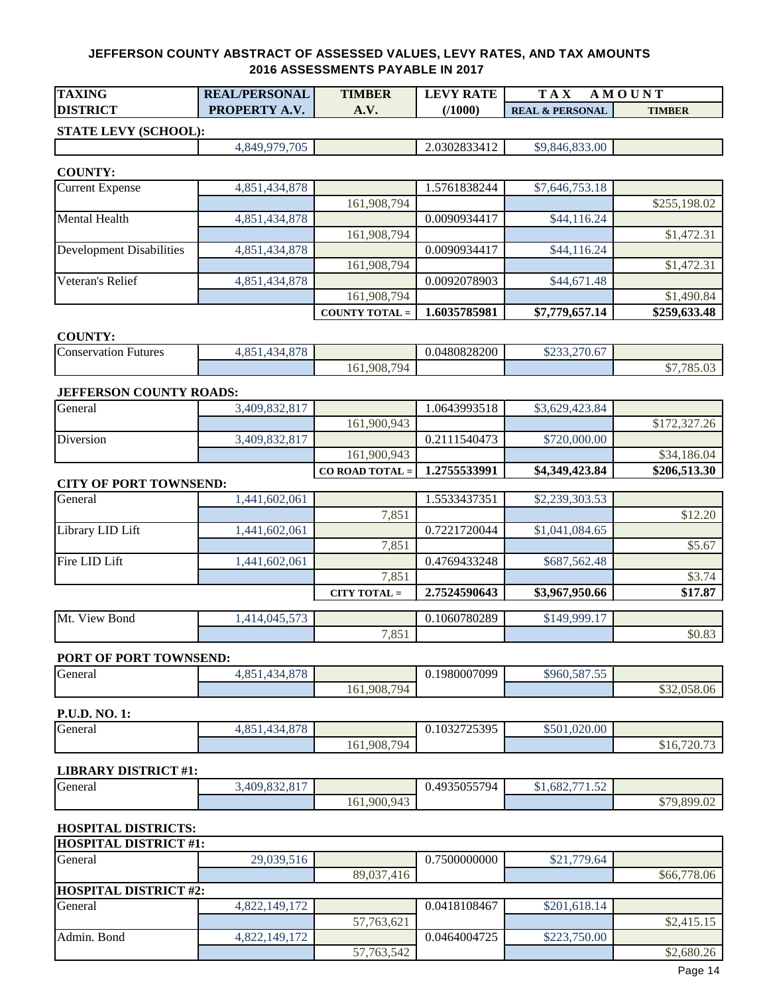| <b>TAXING</b>   | <b>REAL/PERSONAL</b> | <b>TIMBER</b>                 | <b>RATE</b><br><b>LEVY</b> | T A<br>N/L                 |               |
|-----------------|----------------------|-------------------------------|----------------------------|----------------------------|---------------|
| <b>DISTRICT</b> | <b>PROPERTY A.</b>   | $\mathbf{a} \cdot \mathbf{v}$ | 71000)                     | <b>REAL &amp; PERSONAL</b> | <b>TIMBER</b> |

## **STATE LEVY (SCHOOL):**

4,849,979,705 2.0302833412 \$9,846,833.00

#### **COUNTY:**

| <b>Current Expense</b>   | 4,851,434,878 |                       | 1.5761838244 | \$7,646,753.18 |              |
|--------------------------|---------------|-----------------------|--------------|----------------|--------------|
|                          |               | 161,908,794           |              |                | \$255,198.02 |
| <b>Mental Health</b>     | 4,851,434,878 |                       | 0.0090934417 | \$44,116.24    |              |
|                          |               | 161,908,794           |              |                | \$1,472.31   |
| Development Disabilities | 4,851,434,878 |                       | 0.0090934417 | \$44,116.24    |              |
|                          |               | 161,908,794           |              |                | \$1,472.31   |
| <b>Veteran's Relief</b>  | 4,851,434,878 |                       | 0.0092078903 | \$44,671.48    |              |
|                          |               | 161,908,794           |              |                | \$1,490.84   |
|                          |               | <b>COUNTY TOTAL =</b> | 1.6035785981 | \$7,779,657.14 | \$259,633.48 |

#### **COUNTY:**

| Conservation<br>Futures | 070<br>$\sim$ $\sim$<br>∽<br>UJ<br>. |                                  | 0.0480828200 | 270<br>ሰሰሰሰ<br>$-$<br>0.01, 0.01 |                                                                  |
|-------------------------|--------------------------------------|----------------------------------|--------------|----------------------------------|------------------------------------------------------------------|
|                         |                                      | 794<br>$\sim$ 1<br>908.<br>161,5 |              |                                  | $\pi$<br>$\uparrow$<br>$\sim$<br>10.01<br>.01<br>$\cdot$ $\cdot$ |

#### **JEFFERSON COUNTY ROADS:**

|           |               | $CO$ ROAD TOTAL = $\blacksquare$ | 1.2755533991 | \$4,349,423.84 | \$206,513.30 |
|-----------|---------------|----------------------------------|--------------|----------------|--------------|
|           |               | 161,900,943                      |              |                | \$34,186.04  |
| Diversion | 3.409.832.817 |                                  | 0.2111540473 | \$720,000.00   |              |
|           |               | 161,900,943                      |              |                | \$172,327.26 |
| General   | 3.409.832.817 |                                  | 1.0643993518 | \$3,629,423.84 |              |

## **CITY OF PORT TOWNSEND:**

|                  |              | 7,851<br>CITY TOTAL $=$ | 2.7524590643 | \$3,967,950.66 | \$3.74<br>\$17.87 |
|------------------|--------------|-------------------------|--------------|----------------|-------------------|
| Fire LID Lift    | ,441,602,061 |                         | 0.4769433248 | \$687,562.48   |                   |
|                  |              | 7,851                   |              |                | \$5.67            |
| Library LID Lift | ,441,602,061 |                         | 0.7221720044 | \$1,041,084.65 |                   |
|                  |              | 7,851                   |              |                | \$12.20           |
| General          | ,441,602,061 |                         | 1.5533437351 | \$2,239,303.53 |                   |

| $\mathbf{v}$<br>Mt.<br>Bond<br>√iew | $  \sim$<br>$\sim$ $\sim$ $\sim$<br>14.04<br>$\sim \sim$ |                | 0.1060780289 | .499917<br>1/1Q |              |
|-------------------------------------|----------------------------------------------------------|----------------|--------------|-----------------|--------------|
|                                     |                                                          | 7.05<br>$\sim$ |              |                 | $$0.\delta$$ |

#### **PORT OF PORT TOWNSEND:**

| <b>General</b> | $\sim$<br>$\sim$ $\lambda$<br>$\sim$ $-$<br>. .<br>60J<br>. .<br>. . |                                                        | 1980007099<br>v. 1 | $\sim$ $\sim$ $\sim$ $\sim$<br>\$960.587<br>ر. ب |                                |
|----------------|----------------------------------------------------------------------|--------------------------------------------------------|--------------------|--------------------------------------------------|--------------------------------|
|                |                                                                      | $70\Delta$<br>.908<br>$\overline{\phantom{a}}$<br>161. |                    |                                                  | $\sim$ $\sim$<br>8.06<br>ر روب |

| <b>P.U.D. NO. 1:</b> |                                                          |             |              |              |                |
|----------------------|----------------------------------------------------------|-------------|--------------|--------------|----------------|
| $\sim$<br>General    | 070<br>0.51<br>$\sim$<br>. 34<br>1.OJ<br>1. U / U<br>. . |             | 0.1032725395 | \$501,020.00 |                |
|                      |                                                          | 161,908,794 |              |              | 720.73<br>910. |

#### **LIBRARY DISTRICT #1:**

| $\sim$<br>General | ,409,832,817 |             | 0.4935055794 | $1,682,771$ 5 <sup>o</sup> |                                |
|-------------------|--------------|-------------|--------------|----------------------------|--------------------------------|
|                   |              | 161,900,943 |              |                            | \$79,899.02<br>$\mathcal{P}$ / |

## **HOSPITAL DISTRICTS:**

| <b>HOSPITAL DISTRICT #1:</b> |               |            |              |              |             |  |  |  |
|------------------------------|---------------|------------|--------------|--------------|-------------|--|--|--|
| General                      | 29,039,516    |            | 0.7500000000 | \$21,779.64  |             |  |  |  |
|                              |               | 89,037,416 |              |              | \$66,778.06 |  |  |  |
| <b>HOSPITAL DISTRICT #2:</b> |               |            |              |              |             |  |  |  |
| General                      | 4,822,149,172 |            | 0.0418108467 | \$201,618.14 |             |  |  |  |
|                              |               | 57,763,621 |              |              | \$2,415.15  |  |  |  |
| Admin. Bond                  | 4,822,149,172 |            | 0.0464004725 | \$223,750.00 |             |  |  |  |
|                              |               | 57,763,542 |              |              | \$2,680.26  |  |  |  |
|                              |               |            |              |              |             |  |  |  |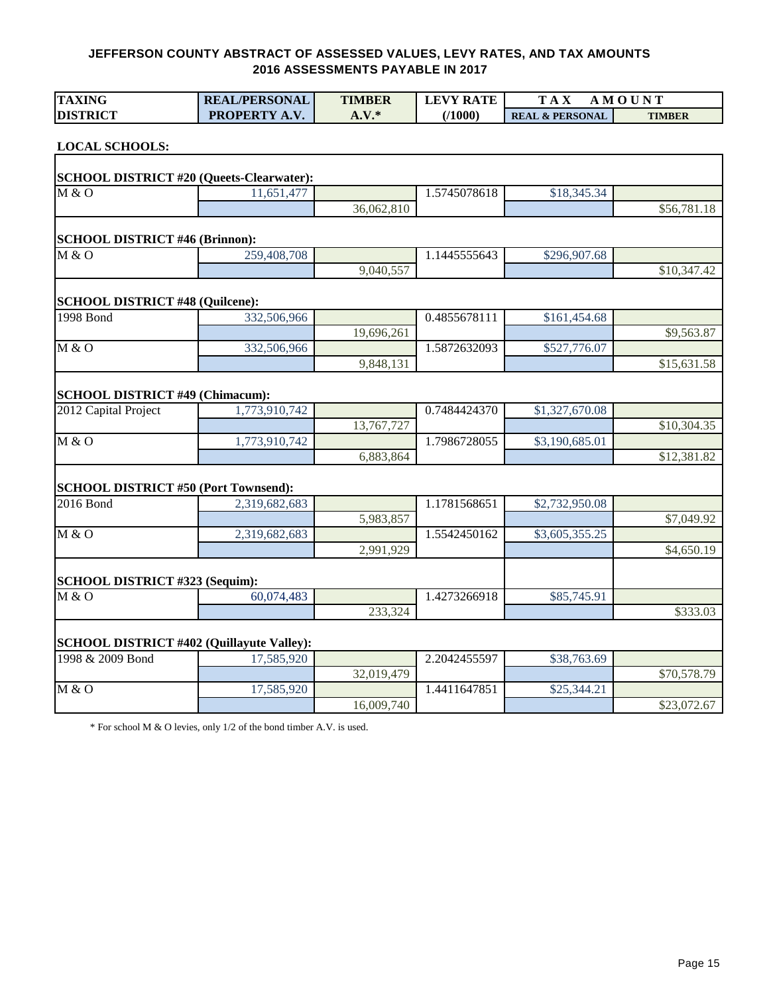| <b>TAXING</b>                                    | <b>REAL/PERSONAL</b> | <b>TIMBER</b> | <b>LEVY RATE</b> | <b>TAX</b>                 | <b>AMOUNT</b> |
|--------------------------------------------------|----------------------|---------------|------------------|----------------------------|---------------|
| <b>DISTRICT</b>                                  | PROPERTY A.V.        | $A.V.*$       | (1000)           | <b>REAL &amp; PERSONAL</b> | <b>TIMBER</b> |
| <b>LOCAL SCHOOLS:</b>                            |                      |               |                  |                            |               |
| <b>SCHOOL DISTRICT #20 (Queets-Clearwater):</b>  |                      |               |                  |                            |               |
| M & O                                            | 11,651,477           |               | 1.5745078618     | \$18,345.34                |               |
|                                                  |                      | 36,062,810    |                  |                            | \$56,781.18   |
| <b>SCHOOL DISTRICT #46 (Brinnon):</b>            |                      |               |                  |                            |               |
| M & O                                            | 259,408,708          |               | 1.1445555643     | \$296,907.68               |               |
|                                                  |                      | 9,040,557     |                  |                            | \$10,347.42   |
| <b>SCHOOL DISTRICT #48 (Quilcene):</b>           |                      |               |                  |                            |               |
| 1998 Bond                                        | 332,506,966          |               | 0.4855678111     | \$161,454.68               |               |
|                                                  |                      | 19,696,261    |                  |                            | \$9,563.87    |
| M & O                                            | 332,506,966          |               | 1.5872632093     | \$527,776.07               |               |
|                                                  |                      | 9,848,131     |                  |                            | \$15,631.58   |
| <b>SCHOOL DISTRICT #49 (Chimacum):</b>           |                      |               |                  |                            |               |
| 2012 Capital Project                             | 1,773,910,742        |               | 0.7484424370     | \$1,327,670.08             |               |
|                                                  |                      | 13,767,727    |                  |                            | \$10,304.35   |
| M & O                                            | 1,773,910,742        |               | 1.7986728055     | \$3,190,685.01             |               |
|                                                  |                      | 6,883,864     |                  |                            | \$12,381.82   |
| <b>SCHOOL DISTRICT #50 (Port Townsend):</b>      |                      |               |                  |                            |               |
| 2016 Bond                                        | 2,319,682,683        |               | 1.1781568651     | \$2,732,950.08             |               |
|                                                  |                      | 5,983,857     |                  |                            | \$7,049.92    |
| M & O                                            | 2,319,682,683        |               | 1.5542450162     | \$3,605,355.25             |               |
|                                                  |                      | 2,991,929     |                  |                            | \$4,650.19    |
| SCHOOL DISTRICT #323 (Sequim):                   |                      |               |                  |                            |               |
| $\overline{M\&O}$                                | 60,074,483           |               | 1.4273266918     | \$85,745.91                |               |
|                                                  |                      | 233,324       |                  |                            | \$333.03      |
| <b>SCHOOL DISTRICT #402 (Quillayute Valley):</b> |                      |               |                  |                            |               |
| 1998 & 2009 Bond                                 | 17,585,920           |               | 2.2042455597     | \$38,763.69                |               |
|                                                  |                      | 32,019,479    |                  |                            | \$70,578.79   |
| M & O                                            | 17,585,920           |               | 1.4411647851     | \$25,344.21                |               |
|                                                  |                      | 16,009,740    |                  |                            | \$23,072.67   |

\* For school M & O levies, only 1/2 of the bond timber A.V. is used.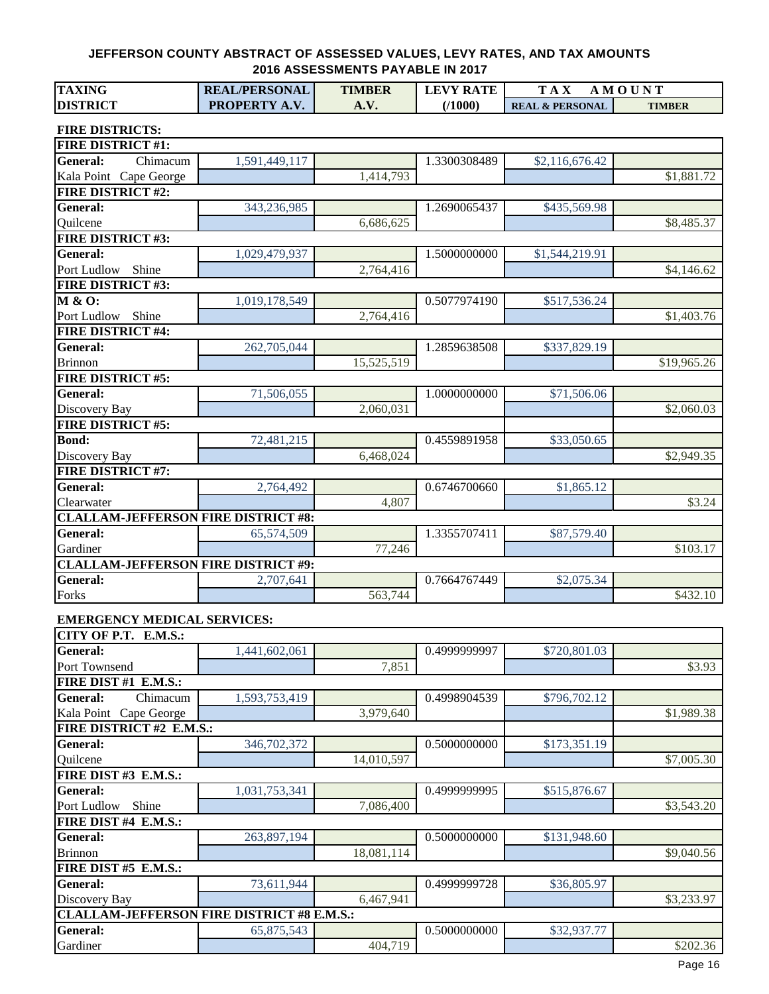| <b>TAXING</b>                                     | <b>REAL/PERSONAL</b> | <b>TIMBER</b> | <b>LEVY RATE</b> | <b>TAX</b>                 | AMOUNT        |
|---------------------------------------------------|----------------------|---------------|------------------|----------------------------|---------------|
| <b>DISTRICT</b>                                   | PROPERTY A.V.        | A.V.          | (1000)           | <b>REAL &amp; PERSONAL</b> | <b>TIMBER</b> |
|                                                   |                      |               |                  |                            |               |
| <b>FIRE DISTRICTS:</b>                            |                      |               |                  |                            |               |
| <b>FIRE DISTRICT #1:</b>                          |                      |               |                  |                            |               |
| <b>General:</b><br>Chimacum                       | 1,591,449,117        |               | 1.3300308489     | \$2,116,676.42             |               |
| Kala Point Cape George                            |                      | 1,414,793     |                  |                            | \$1,881.72    |
| <b>FIRE DISTRICT #2:</b>                          |                      |               |                  |                            |               |
| General:                                          | 343,236,985          |               | 1.2690065437     | \$435,569.98               |               |
| Quilcene                                          |                      | 6,686,625     |                  |                            | \$8,485.37    |
| <b>FIRE DISTRICT #3:</b>                          |                      |               |                  |                            |               |
| <b>General:</b>                                   | 1,029,479,937        |               | 1.5000000000     | \$1,544,219.91             |               |
| Port Ludlow<br>Shine                              |                      | 2,764,416     |                  |                            | \$4,146.62    |
| <b>FIRE DISTRICT #3:</b>                          |                      |               |                  |                            |               |
| M & O:                                            | 1,019,178,549        |               | 0.5077974190     | \$517,536.24               |               |
| Port Ludlow<br>Shine                              |                      | 2,764,416     |                  |                            | \$1,403.76    |
| <b>FIRE DISTRICT #4:</b>                          |                      |               |                  |                            |               |
| <b>General:</b>                                   | 262,705,044          |               | 1.2859638508     | \$337,829.19               |               |
| <b>Brinnon</b>                                    |                      | 15,525,519    |                  |                            | \$19,965.26   |
| <b>FIRE DISTRICT #5:</b>                          |                      |               |                  |                            |               |
| <b>General:</b>                                   | 71,506,055           |               | 1.0000000000     | \$71,506.06                |               |
| Discovery Bay                                     |                      | 2,060,031     |                  |                            | \$2,060.03    |
| <b>FIRE DISTRICT #5:</b>                          |                      |               |                  |                            |               |
| <b>Bond:</b>                                      | 72,481,215           |               | 0.4559891958     | \$33,050.65                |               |
| Discovery Bay                                     |                      | 6,468,024     |                  |                            | \$2,949.35    |
| <b>FIRE DISTRICT #7:</b>                          |                      |               |                  |                            |               |
| <b>General:</b>                                   | 2,764,492            |               | 0.6746700660     | \$1,865.12                 |               |
| Clearwater                                        |                      | 4,807         |                  |                            | \$3.24        |
| <b>CLALLAM-JEFFERSON FIRE DISTRICT #8:</b>        |                      |               |                  |                            |               |
| <b>General:</b>                                   | 65,574,509           |               | 1.3355707411     | \$87,579.40                |               |
| Gardiner                                          |                      | 77,246        |                  |                            | \$103.17      |
| <b>CLALLAM-JEFFERSON FIRE DISTRICT #9:</b>        |                      |               |                  |                            |               |
| <b>General:</b>                                   | 2,707,641            |               | 0.7664767449     | \$2,075.34                 |               |
| Forks                                             |                      | 563,744       |                  |                            | \$432.10      |
| <b>EMERGENCY MEDICAL SERVICES:</b>                |                      |               |                  |                            |               |
| CITY OF P.T. E.M.S.:                              |                      |               |                  |                            |               |
| General:                                          | 1,441,602,061        |               | 0.4999999997     | \$720,801.03               |               |
| Port Townsend                                     |                      | 7,851         |                  |                            | \$3.93        |
| FIRE DIST #1 E.M.S.:                              |                      |               |                  |                            |               |
| General:<br>Chimacum                              | 1,593,753,419        |               | 0.4998904539     | \$796,702.12               |               |
| Kala Point Cape George                            |                      | 3,979,640     |                  |                            | \$1,989.38    |
| FIRE DISTRICT #2 E.M.S.:                          |                      |               |                  |                            |               |
| <b>General:</b>                                   | 346,702,372          |               | 0.5000000000     | \$173,351.19               |               |
| Quilcene                                          |                      | 14,010,597    |                  |                            | \$7,005.30    |
| FIRE DIST #3 E.M.S.:                              |                      |               |                  |                            |               |
| <b>General:</b>                                   | 1,031,753,341        |               | 0.4999999995     | \$515,876.67               |               |
| Port Ludlow<br>Shine                              |                      | 7,086,400     |                  |                            | \$3,543.20    |
| FIRE DIST #4 E.M.S.:                              |                      |               |                  |                            |               |
|                                                   |                      |               |                  |                            |               |
| <b>General:</b>                                   | 263,897,194          |               | 0.5000000000     | \$131,948.60               |               |
| <b>Brinnon</b>                                    |                      | 18,081,114    |                  |                            | \$9,040.56    |
| FIRE DIST #5 E.M.S.:                              |                      |               |                  |                            |               |
| <b>General:</b>                                   | 73,611,944           |               | 0.4999999728     | \$36,805.97                |               |
| Discovery Bay                                     |                      | 6,467,941     |                  |                            | \$3,233.97    |
| <b>CLALLAM-JEFFERSON FIRE DISTRICT #8 E.M.S.:</b> |                      |               |                  |                            |               |
| <b>General:</b>                                   | 65,875,543           |               | 0.5000000000     | \$32,937.77                |               |
| Gardiner                                          |                      | 404,719       |                  |                            | \$202.36      |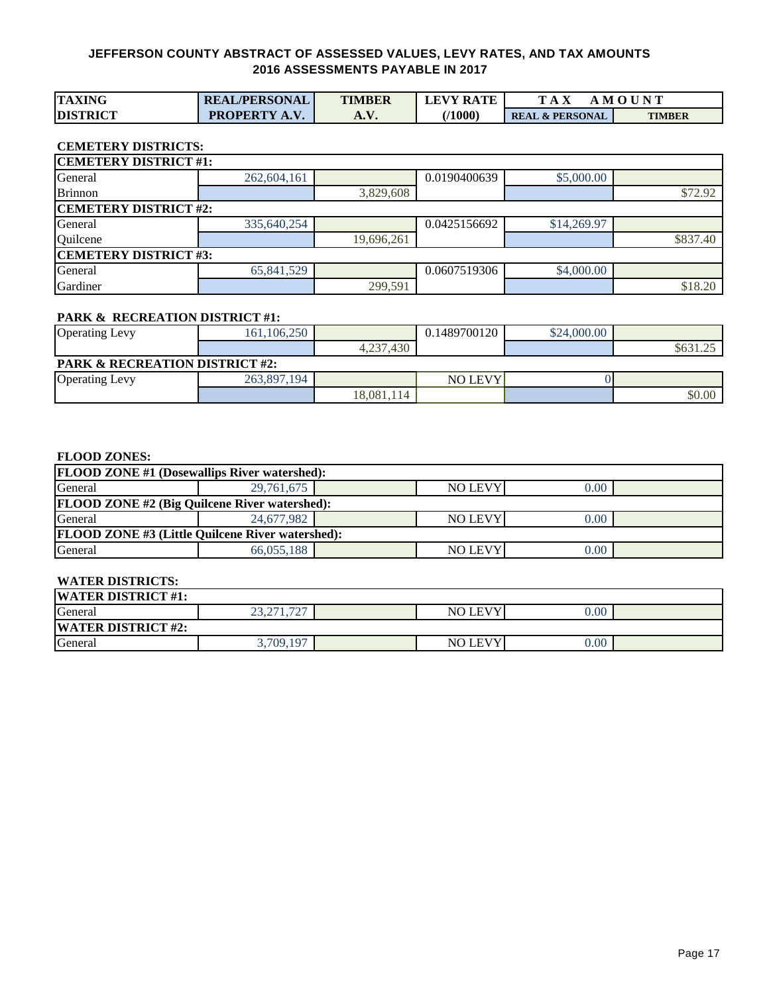| <b>TAXING</b>   | <b>REAL/PERSONAL</b> | <b>TIMBER</b> | <b>LEVY RATE</b> | m                          | . M O U N T   |
|-----------------|----------------------|---------------|------------------|----------------------------|---------------|
| <b>DISTRICT</b> | <b>PROPERTY A.V.</b> | A. V.         | 71000            | <b>REAL &amp; PERSONAL</b> | <b>TIMBER</b> |

## **CEMETERY DISTRICTS:**

| <b>CEMETERY DISTRICT #1:</b> |             |            |              |             |          |  |  |  |  |  |
|------------------------------|-------------|------------|--------------|-------------|----------|--|--|--|--|--|
| General                      | 262,604,161 |            | 0.0190400639 | \$5,000.00  |          |  |  |  |  |  |
| <b>Brinnon</b>               |             | 3,829,608  |              |             | \$72.92  |  |  |  |  |  |
| <b>CEMETERY DISTRICT #2:</b> |             |            |              |             |          |  |  |  |  |  |
| General                      | 335,640,254 |            | 0.0425156692 | \$14,269.97 |          |  |  |  |  |  |
| Quilcene                     |             | 19,696,261 |              |             | \$837.40 |  |  |  |  |  |
| <b>CEMETERY DISTRICT #3:</b> |             |            |              |             |          |  |  |  |  |  |
| General                      | 65,841,529  |            | 0.0607519306 | \$4,000.00  |          |  |  |  |  |  |
| Gardiner                     |             | 299,591    |              |             | \$18.20  |  |  |  |  |  |

#### **PARK & RECREATION DISTRICT #1:**

| <b>Operating Levy</b>                     | 161, 106, 250 |            | 0.1489700120   | \$24,000.00 |          |  |  |  |
|-------------------------------------------|---------------|------------|----------------|-------------|----------|--|--|--|
|                                           |               | 4,237,430  |                |             | \$631.2. |  |  |  |
| <b>PARK &amp; RECREATION DISTRICT #2:</b> |               |            |                |             |          |  |  |  |
| <b>Operating Levy</b>                     | 263,897,194   |            | <b>NO LEVY</b> |             |          |  |  |  |
|                                           |               | 18.081.114 |                |             | \$0.00   |  |  |  |

#### **FLOOD ZONES:**

| <b>FLOOD ZONE #1 (Dosewallips River watershed):</b>     |            |  |                |      |  |  |  |  |  |  |
|---------------------------------------------------------|------------|--|----------------|------|--|--|--|--|--|--|
| General<br><b>NO LEVY</b><br>29,761,675<br>0.00         |            |  |                |      |  |  |  |  |  |  |
| <b>FLOOD ZONE #2 (Big Quilcene River watershed):</b>    |            |  |                |      |  |  |  |  |  |  |
| General                                                 | 24,677,982 |  | <b>NO LEVY</b> | 0.00 |  |  |  |  |  |  |
| <b>FLOOD ZONE #3 (Little Quilcene River watershed):</b> |            |  |                |      |  |  |  |  |  |  |
| General                                                 | 66,055,188 |  | <b>NO LEVY</b> | 0.00 |  |  |  |  |  |  |

## **WATER DISTRICTS:**

| <b>WATER DISTRICT #1:</b> |                                                               |  |                           |      |  |  |  |  |  |
|---------------------------|---------------------------------------------------------------|--|---------------------------|------|--|--|--|--|--|
| General                   | $\overline{\phantom{a}}$<br>$\sqrt{71}$<br>$\cap$<br>23.211.1 |  | LEVY <sup>'</sup><br>NO I | 0.00 |  |  |  |  |  |
| <b>WATER DISTRICT #2:</b> |                                                               |  |                           |      |  |  |  |  |  |
| General                   | 3,709,197                                                     |  | LEVY'<br>NO I             | 0.00 |  |  |  |  |  |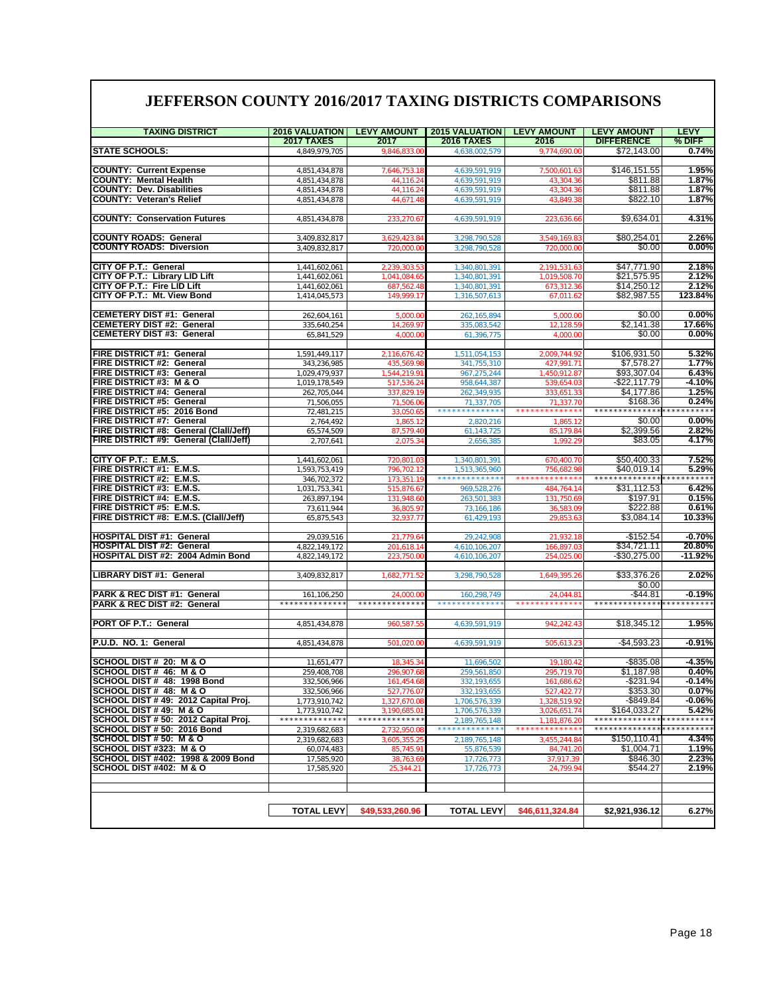## **JEFFERSON COUNTY 2016/2017 TAXING DISTRICTS COMPARISONS**

| <b>TAXING DISTRICT</b>                                               | <b>2016 VALUATION</b>                      | <b>LEVY AMOUNT</b>        | <b>2015 VALUATION</b>                      | <b>LEVY AMOUNT</b>          | <b>LEVY AMOUNT</b>                                         | <b>LEVY</b>         |
|----------------------------------------------------------------------|--------------------------------------------|---------------------------|--------------------------------------------|-----------------------------|------------------------------------------------------------|---------------------|
|                                                                      | <b>2017 TAXES</b>                          | 2017                      | <b>2016 TAXES</b>                          | 2016                        | <b>DIFFERENCE</b>                                          | % DIFF              |
| <b>STATE SCHOOLS:</b>                                                | 4,849,979,705                              | 9,846,833.0               | 4,638,002,579                              | 9,774,690.00                | \$72,143.00                                                | 0.74%               |
|                                                                      |                                            |                           |                                            |                             |                                                            |                     |
| <b>COUNTY: Current Expense</b><br><b>COUNTY: Mental Health</b>       | 4,851,434,878                              | 7.646.753.18<br>44,116.24 | 4,639,591,919                              | 7.500.601.63<br>43,304.36   | \$146,151.55<br>\$811.88                                   | 1.95%<br>1.87%      |
| <b>COUNTY: Dev. Disabilities</b>                                     | 4,851,434,878<br>4,851,434,878             | 44.116.2                  | 4,639,591,919<br>4.639.591.919             | 43.304.36                   | \$811.88                                                   | 1.87%               |
| <b>COUNTY: Veteran's Relief</b>                                      | 4,851,434,878                              | 44,671.48                 | 4,639,591,919                              | 43.849.38                   | \$822.10                                                   | 1.87%               |
|                                                                      |                                            |                           |                                            |                             |                                                            |                     |
| <b>COUNTY: Conservation Futures</b>                                  | 4,851,434,878                              | 233,270.67                | 4,639,591,919                              | 223,636.66                  | \$9,634.01                                                 | 4.31%               |
|                                                                      |                                            |                           |                                            |                             |                                                            |                     |
| <b>COUNTY ROADS: General</b>                                         | 3,409,832,817                              | 3,629,423.8               | 3,298,790,528                              | 3,549,169.83                | \$80,254.01                                                | 2.26%               |
| <b>COUNTY ROADS: Diversion</b>                                       | 3,409,832,817                              | 720,000.0                 | 3,298,790,528                              | 720,000.00                  | \$0.00                                                     | 0.00%               |
|                                                                      |                                            |                           |                                            |                             |                                                            |                     |
| CITY OF P.T.: General                                                | 1,441,602,061                              | 2,239,303.5               | 1,340,801,391                              | 2,191,531.63                | \$47,771.90                                                | 2.18%               |
| CITY OF P.T.: Library LID Lift                                       | 1,441,602,061                              | 1,041,084.6               | 1,340,801,391                              | 1,019,508.70                | \$21,575.95                                                | 2.12%               |
| CITY OF P.T.: Fire LID Lift                                          | 1,441,602,061                              | 687,562.4                 | 1,340,801,391                              | 673,312.36                  | \$14,250.12                                                | 2.12%               |
| CITY OF P.T.: Mt. View Bond                                          | 1,414,045,573                              | 149,999.1                 | 1,316,507,613                              | 67,011.62                   | \$82,987.55                                                | 123.84%             |
|                                                                      |                                            |                           |                                            |                             |                                                            |                     |
| <b>CEMETERY DIST #1: General</b><br><b>CEMETERY DIST #2: General</b> | 262,604,161<br>335,640,254                 | 5,000.0<br>14,269.97      | 262,165,894<br>335,083,542                 | 5,000.00<br>12,128.59       | \$0.00<br>\$2,141.38                                       | 0.00%<br>17.66%     |
| <b>CEMETERY DIST #3: General</b>                                     | 65,841,529                                 | 4,000.00                  | 61,396,775                                 | 4,000.00                    | \$0.00                                                     | 0.00%               |
|                                                                      |                                            |                           |                                            |                             |                                                            |                     |
| FIRE DISTRICT #1: General                                            | 1,591,449,117                              | 2,116,676.42              | ,511,054,153                               | 2,009,744.92                | \$106,931.50                                               | 5.32%               |
| FIRE DISTRICT #2: General                                            | 343,236,985                                | 435,569.98                | 341,755,310                                | 427,991.71                  | \$7,578.27                                                 | 1.77%               |
| FIRE DISTRICT #3: General                                            | 1,029,479,937                              | 1,544,219.91              | 967,275,244                                | 1,450,912.87                | \$93,307.04                                                | 6.43%               |
| FIRE DISTRICT #3: M & O                                              | 1,019,178,549                              | 517,536.2                 | 958,644,387                                | 539,654.03                  | $-$22,117.79$                                              | $-4.10%$            |
| <b>FIRE DISTRICT #4: General</b>                                     | 262,705,044                                | 337,829.                  | 262,349,935                                | 333,651.33                  | \$4,177.86                                                 | 1.25%               |
| <b>FIRE DISTRICT #5: General</b>                                     | 71,506,055                                 | 71,506.0                  | 71,337,705                                 | 71,337.70                   | \$168.36                                                   | 0.24%               |
| FIRE DISTRICT #5: 2016 Bond                                          | 72,481,215                                 | 33.050.6                  | * * * * * * * * * * * * *                  | *************               | **************                                             | * * * * * * * * * * |
| FIRE DISTRICT #7: General                                            | 2,764,492                                  | 1,865.1                   | 2,820,216                                  | 1,865.12                    | \$0.00                                                     | 0.00%               |
| FIRE DISTRICT #8: General (Clall/Jeff)                               | 65,574,509                                 | 87,579.40                 | 61,143,725                                 | 85.179.84                   | \$2,399.56                                                 | 2.82%               |
| FIRE DISTRICT #9: General (Clall/Jeff)                               | 2.707.641                                  | 2,075.34                  | 2.656.385                                  | 1,992.29                    | \$83.05                                                    | 4.17%               |
|                                                                      |                                            |                           |                                            |                             |                                                            |                     |
| CITY OF P.T.: E.M.S.<br><b>FIRE DISTRICT #1: E.M.S.</b>              | 1,441,602,061                              | 720,801                   | 1,340,801,391                              | 670,400.70                  | \$50,400.33<br>\$40,019.14                                 | 7.52%<br>5.29%      |
| FIRE DISTRICT #2: E.M.S.                                             | 1,593,753,419                              | 796,702                   | 1,513,365,960<br>* * * * * * * * * * * * * | 756.682.98<br>************* | *************                                              |                     |
| FIRE DISTRICT #3: E.M.S.                                             | 346,702,372                                | 173,351.19                |                                            |                             | \$31,112.53                                                | 6.42%               |
| FIRE DISTRICT #4: E.M.S.                                             | 1,031,753,341<br>263,897,194               | 515,876.67<br>131,948.60  | 969,528,276<br>263,501,383                 | 484,764.14<br>131.750.69    | \$197.91                                                   | 0.15%               |
| FIRE DISTRICT #5: E.M.S.                                             | 73,611,944                                 | 36,805.97                 | 73,166,186                                 | 36,583.09                   | \$222.88                                                   | 0.61%               |
| FIRE DISTRICT #8: E.M.S. (Clall/Jeff)                                | 65,875,543                                 | 32,937.7                  | 61,429,193                                 | 29,853.63                   | \$3,084.14                                                 | 10.33%              |
|                                                                      |                                            |                           |                                            |                             |                                                            |                     |
| <b>HOSPITAL DIST #1: General</b>                                     | 29,039,516                                 | 21,779.64                 | 29,242,908                                 | 21,932.18                   | $-$152.54$                                                 | $-0.70%$            |
| <b>HOSPITAL DIST #2: General</b>                                     | 4,822,149,172                              | 201,618.                  | 4,610,106,207                              | 166,897.0                   | \$34,721.11                                                | 20.80%              |
| HOSPITAL DIST #2: 2004 Admin Bond                                    | 4,822,149,172                              | 223,750.0                 | 4,610,106,207                              | 254,025.00                  | $-$30,275.00$                                              | $-11.92%$           |
|                                                                      |                                            |                           |                                            |                             |                                                            |                     |
| LIBRARY DIST #1: General                                             | 3,409,832,817                              | 1,682,771.52              | 3,298,790,528                              | 1,649,395.26                | \$33,376.26                                                | 2.02%               |
|                                                                      |                                            |                           |                                            |                             | \$0.00                                                     |                     |
| PARK & REC DIST #1: General<br>PARK & REC DIST #2: General           | 161,106,250                                | 24,000.0                  | 160,298,749                                | 24,044.8                    | -\$44.81<br>* * * * * * * * * * * * *                      | $-0.19%$            |
|                                                                      |                                            |                           |                                            |                             |                                                            |                     |
| <b>PORT OF P.T.: General</b>                                         | 4,851,434,878                              | 960,587                   | 4,639,591,919                              | 942,242.43                  | \$18,345.12                                                | 1.95%               |
|                                                                      |                                            |                           |                                            |                             |                                                            |                     |
| P.U.D. NO. 1: General                                                | 4,851,434,878                              | 501,020.00                | 4,639,591,919                              | 505,613.23                  | $-$4,593.23$                                               | -0.91%              |
|                                                                      |                                            |                           |                                            |                             |                                                            |                     |
| SCHOOL DIST# 20: M & O                                               | 11,651,477                                 | 18,345.34                 | 11,696,502                                 | 19.180.42                   | $-$ \$835.08                                               | $-4.35%$            |
| <b>SCHOOL DIST # 46: M &amp; O</b>                                   | 259,408,708                                | 296.907.6                 | 259,561,850                                | 295.719.70                  | \$1.187.98                                                 | 0.40%               |
| SCHOOL DIST # 48: 1998 Bond                                          | 332,506,966                                | 161,454.6                 | 332,193,655                                | 161,686.62                  | $-$ \$231.94                                               | $-0.14%$            |
| SCHOOL DIST#48: M&O                                                  | 332,506,966                                | 527,776.0                 | 332,193,655                                | 527,422.7                   | \$353.30                                                   | 0.07%               |
| SCHOOL DIST # 49: 2012 Capital Proj.                                 | 1,773,910,742                              | 1,327,670.0               | 1,706,576,339                              | 1,328,519.92                | $-$ \$849.84                                               | -0.06%              |
| SCHOOL DIST #49: M & O                                               | 1,773,910,742<br>* * * * * * * * * * * * * | 3,190,685.0               | 1.706.576.339                              | 3.026.651.7                 | \$164,033.27                                               | 5.42%               |
| SCHOOL DIST # 50: 2012 Capital Proj.                                 |                                            | * * * * * * * * * * * * * | 2,189,765,148<br>* * * * * * * * * * * * * | 1,181,876.20<br>.           | * * * * * * * * * * * * * *<br>* * * * * * * * * * * * * * | * * * * * * * * *   |
| SCHOOL DIST # 50: 2016 Bond                                          | 2,319,682,683                              | 2,732,950.0               |                                            |                             |                                                            |                     |
| SCHOOL DIST # 50: M & O<br>SCHOOL DIST #323: M & O                   | 2,319,682,683<br>60.074.483                | 3,605,355.                | 2,189,765,148<br>55.876.539                | 3,455,244.84                | \$150,110.41<br>\$1,004.71                                 | 4.34%<br>1.19%      |
| SCHOOL DIST #402: 1998 & 2009 Bond                                   | 17,585,920                                 | 85,745.91                 |                                            | 84,741.20<br>37,917.39      | \$846.30                                                   | 2.23%               |
| SCHOOL DIST #402: M & O                                              | 17,585,920                                 | 38,763.6<br>25,344.21     | 17,726,773<br>17,726,773                   | 24,799.94                   | \$544.27                                                   | 2.19%               |
|                                                                      |                                            |                           |                                            |                             |                                                            |                     |
|                                                                      |                                            |                           |                                            |                             |                                                            |                     |
|                                                                      |                                            |                           |                                            |                             |                                                            |                     |
|                                                                      | <b>TOTAL LEVY</b>                          | \$49,533,260.96           | <b>TOTAL LEVY</b>                          | \$46,611,324.84             | \$2,921,936.12                                             | 6.27%               |
|                                                                      |                                            |                           |                                            |                             |                                                            |                     |